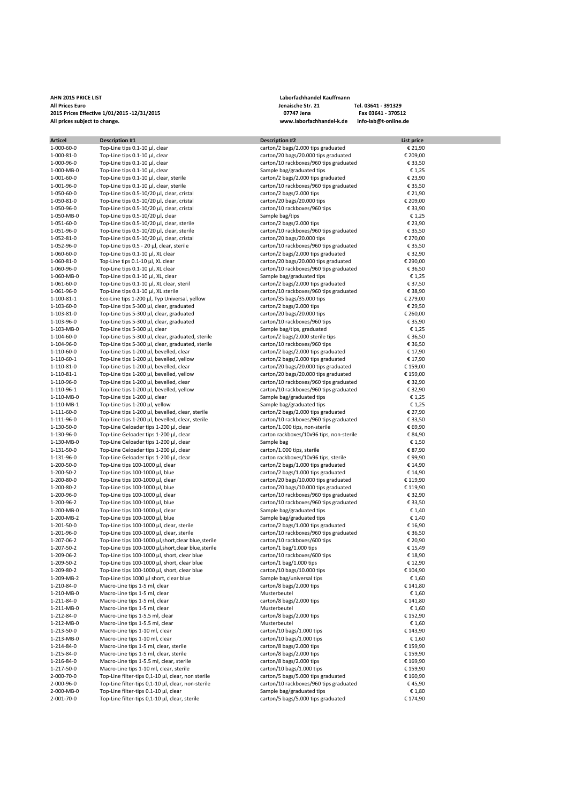## **AHN 2015 PRICE LIST Laborfachhandel Kauffmann All Prices Euro Jenaische Str. 21 Tel. 03641 - 391329 2015 Prices Effective 1/01/2015 -12/31/2015 07747 Jena Fax 03641 - 370512 All prices subject to change. www.laborfachhandel-k.de info-lab@t-online.de**

| <b>Articel</b> | <b>Description #1</b>                              | <b>Description #2</b>                    | List price |  |
|----------------|----------------------------------------------------|------------------------------------------|------------|--|
| 1-000-60-0     | Top-Line tips 0.1-10 µl, clear                     | carton/2 bags/2.000 tips graduated       | € 21,90    |  |
| 1-000-81-0     | Top-Line tips 0.1-10 µl, clear                     | carton/20 bags/20.000 tips graduated     | € 209,00   |  |
|                |                                                    |                                          |            |  |
| 1-000-96-0     | Top-Line tips 0.1-10 µl, clear                     | carton/10 rackboxes/960 tips graduated   | € 33,50    |  |
| 1-000-MB-0     | Top-Line tips 0.1-10 µl, clear                     | Sample bag/graduated tips                | €1,25      |  |
| 1-001-60-0     | Top-Line tips 0.1-10 µl, clear, sterile            | carton/2 bags/2.000 tips graduated       | € 23,90    |  |
| 1-001-96-0     | Top-Line tips 0.1-10 µl, clear, sterile            | carton/10 rackboxes/960 tips graduated   | € 35,50    |  |
| 1-050-60-0     | Top-Line tips 0.5-10/20 µl, clear, cristal         | carton/2 bags/2.000 tips                 | € 21,90    |  |
| 1-050-81-0     | Top-Line tips 0.5-10/20 µl, clear, cristal         |                                          |            |  |
|                |                                                    | carton/20 bags/20.000 tips               | € 209,00   |  |
| 1-050-96-0     | Top-Line tips 0.5-10/20 µl, clear, cristal         | carton/10 rackboxes/960 tips             | € 33,90    |  |
| 1-050-MB-0     | Top-Line tips 0.5-10/20 µl, clear                  | Sample bag/tips                          | €1,25      |  |
| 1-051-60-0     | Top-Line tips 0.5-10/20 µl, clear, sterile         | carton/2 bags/2.000 tips                 | € 23,90    |  |
| 1-051-96-0     | Top-Line tips 0.5-10/20 µl, clear, sterile         | carton/10 rackboxes/960 tips graduated   | € 35,50    |  |
| 1-052-81-0     | Top-Line tips 0.5-10/20 µl, clear, cristal         | carton/20 bags/20.000 tips               | € 270,00   |  |
|                |                                                    |                                          |            |  |
| 1-052-96-0     | Top-Line tips 0.5 - 20 µl, clear, sterile          | carton/10 rackboxes/960 tips graduated   | € 35,50    |  |
| 1-060-60-0     | Top-Line tips 0.1-10 µl, XL clear                  | carton/2 bags/2.000 tips graduated       | € 32,90    |  |
| 1-060-81-0     | Top-Line tips 0.1-10 µl, XL clear                  | carton/20 bags/20.000 tips graduated     | € 290,00   |  |
| 1-060-96-0     | Top-Line tips 0.1-10 µl, XL clear                  | carton/10 rackboxes/960 tips graduated   | € 36,50    |  |
| 1-060-MB-0     | Top-Line tips 0.1-10 µl, XL, clear                 | Sample bag/graduated tips                | €1,25      |  |
|                |                                                    |                                          |            |  |
| 1-061-60-0     | Top-Line tips 0.1-10 µl, XL clear, steril          | carton/2 bags/2.000 tips graduated       | € 37,50    |  |
| 1-061-96-0     | Top-Line tips 0.1-10 µl, XL sterile                | carton/10 rackboxes/960 tips graduated   | € 38,90    |  |
| 1-100-81-1     | Eco-Line tips 1-200 µl, Typ Universal, yellow      | carton/35 bags/35.000 tips               | € 279,00   |  |
| 1-103-60-0     | Top-Line tips 5-300 µl, clear, graduated           | carton/2 bags/2.000 tips                 | € 29,50    |  |
| 1-103-81-0     | Top-Line tips 5-300 µl, clear, graduated           | carton/20 bags/20.000 tips               | € 260,00   |  |
| 1-103-96-0     | Top-Line tips 5-300 µl, clear, graduated           | carton/10 rackboxes/960 tips             | € 35,90    |  |
|                |                                                    |                                          |            |  |
| 1-103-MB-0     | Top-Line tips 5-300 µl, clear                      | Sample bag/tips, graduated               | €1,25      |  |
| 1-104-60-0     | Top-Line tips 5-300 µl, clear, graduated, sterile  | carton/2 bags/2.000 sterile tips         | € 36,50    |  |
| 1-104-96-0     | Top-Line tips 5-300 µl, clear, graduated, sterile  | carton/10 rackboxes/960 tips             | € 36,50    |  |
| 1-110-60-0     | Top-Line tips 1-200 µl, bevelled, clear            | carton/2 bags/2.000 tips graduated       | € 17,90    |  |
| 1-110-60-1     | Top-Line tips 1-200 µl, bevelled, yellow           | carton/2 bags/2.000 tips graduated       | € 17,90    |  |
| 1-110-81-0     |                                                    |                                          | € 159,00   |  |
|                | Top-Line tips 1-200 µl, bevelled, clear            | carton/20 bags/20.000 tips graduated     |            |  |
| 1-110-81-1     | Top-Line tips 1-200 µl, bevelled, yellow           | carton/20 bags/20.000 tips graduated     | € 159,00   |  |
| 1-110-96-0     | Top-Line tips 1-200 µl, bevelled, clear            | carton/10 rackboxes/960 tips graduated   | € 32,90    |  |
| 1-110-96-1     | Top-Line tips 1-200 µl, bevelled, yellow           | carton/10 rackboxes/960 tips graduated   | € 32,90    |  |
| 1-110-MB-0     | Top-Line tips 1-200 µl, clear                      | Sample bag/graduated tips                | € 1,25     |  |
| 1-110-MB-1     | Top-Line tips 1-200 µl, yellow                     | Sample bag/graduated tips                | €1,25      |  |
|                |                                                    |                                          |            |  |
| 1-111-60-0     | Top-Line tips 1-200 µl, bevelled, clear, sterile   | carton/2 bags/2.000 tips graduated       | € 27,90    |  |
| 1-111-96-0     | Top-Line tips 1-200 µl, bevelled, clear, sterile   | carton/10 rackboxes/960 tips graduated   | € 33,50    |  |
| 1-130-50-0     | Top-Line Geloader tips 1-200 µl, clear             | carton/1.000 tips, non-sterile           | € 69,90    |  |
| 1-130-96-0     | Top-Line Geloader tips 1-200 µl, clear             | carton rackboxes/10x96 tips, non-sterile | € 84,90    |  |
| 1-130-MB-0     | Top-Line Geloader tips 1-200 µl, clear             | Sample bag                               | € 1,50     |  |
| 1-131-50-0     | Top-Line Geloader tips 1-200 µl, clear             | carton/1.000 tips, sterile               | € 87,90    |  |
|                |                                                    |                                          |            |  |
| 1-131-96-0     | Top-Line Geloader tips 1-200 µl, clear             | carton rackboxes/10x96 tips, sterile     | €99,90     |  |
| 1-200-50-0     | Top-Line tips 100-1000 µl, clear                   | carton/2 bags/1.000 tips graduated       | € 14,90    |  |
| 1-200-50-2     | Top-Line tips 100-1000 µl, blue                    | carton/2 bags/1.000 tips graduated       | € 14,90    |  |
| 1-200-80-0     | Top-Line tips 100-1000 µl, clear                   | carton/20 bags/10.000 tips graduated     | € 119,90   |  |
| 1-200-80-2     | Top-Line tips 100-1000 µl, blue                    | carton/20 bags/10.000 tips graduated     | € 119,90   |  |
| 1-200-96-0     | Top-Line tips 100-1000 µl, clear                   | carton/10 rackboxes/960 tips graduated   | € 32,90    |  |
|                |                                                    |                                          |            |  |
| 1-200-96-2     | Top-Line tips 100-1000 µl, blue                    | carton/10 rackboxes/960 tips graduated   | € 33,50    |  |
| 1-200-MB-0     | Top-Line tips 100-1000 µl, clear                   | Sample bag/graduated tips                | € 1,40     |  |
| 1-200-MB-2     | Top-Line tips 100-1000 µl, blue                    | Sample bag/graduated tips                | € 1,40     |  |
| 1-201-50-0     | Top-Line tips 100-1000 µl, clear, sterile          | carton/2 bags/1.000 tips graduated       | € 16,90    |  |
| 1-201-96-0     | Top-Line tips 100-1000 µl, clear, sterile          | carton/10 rackboxes/960 tips graduated   | € 36,50    |  |
| 1-207-06-2     | Top-Line tips 100-1000 µl,short,clear blue,sterile | carton/10 rackboxes/600 tips             | € 20,90    |  |
|                |                                                    |                                          |            |  |
| 1-207-50-2     | Top-Line tips 100-1000 µl,short,clear blue,sterile | carton/1 bag/1.000 tips                  | € 15,49    |  |
| 1-209-06-2     | Top-Line tips 100-1000 µl, short, clear blue       | carton/10 rackboxes/600 tips             | € 18,90    |  |
| 1-209-50-2     | Top-Line tips 100-1000 µl, short, clear blue       | carton/1 bag/1.000 tips                  | € 12,90    |  |
| 1-209-80-2     | Top-Line tips 100-1000 µl, short, clear blue       | carton/10 bags/10.000 tips               | € 104,90   |  |
| 1-209-MB-2     | Top-Line tips 1000 µl short, clear blue            | Sample bag/universal tips                | € 1,60     |  |
| 1-210-84-0     | Macro-Line tips 1-5 ml, clear                      | carton/8 bags/2.000 tips                 | € 141,80   |  |
|                |                                                    |                                          |            |  |
| 1-210-MB-0     | Macro-Line tips 1-5 ml, clear                      | Musterbeutel                             | € 1,60     |  |
| 1-211-84-0     | Macro-Line tips 1-5 ml, clear                      | carton/8 bags/2.000 tips                 | € 141,80   |  |
| 1-211-MB-0     | Macro-Line tips 1-5 ml, clear                      | Musterbeutel                             | € 1,60     |  |
| 1-212-84-0     | Macro-Line tips 1-5.5 ml, clear                    | carton/8 bags/2.000 tips                 | € 152,90   |  |
| 1-212-MB-0     | Macro-Line tips 1-5.5 ml, clear                    | Musterbeutel                             | € 1,60     |  |
|                |                                                    |                                          |            |  |
| 1-213-50-0     | Macro-Line tips 1-10 ml, clear                     | carton/10 bags/1.000 tips                | € 143,90   |  |
| 1-213-MB-0     | Macro-Line tips 1-10 ml, clear                     | carton/10 bags/1.000 tips                | € 1,60     |  |
| 1-214-84-0     | Macro-Line tips 1-5 ml, clear, sterile             | carton/8 bags/2.000 tips                 | € 159,90   |  |
| 1-215-84-0     | Macro-Line tips 1-5 ml, clear, sterile             | carton/8 bags/2.000 tips                 | € 159,90   |  |
| 1-216-84-0     | Macro-Line tips 1-5.5 ml, clear, sterile           | carton/8 bags/2.000 tips                 | € 169,90   |  |
| 1-217-50-0     | Macro-Line tips 1-10 ml, clear, sterile            | carton/10 bags/1.000 tips                | € 159,90   |  |
|                |                                                    |                                          |            |  |
| 2-000-70-0     | Top-Line filter-tips 0,1-10 µl, clear, non sterile | carton/5 bags/5.000 tips graduated       | € 160,90   |  |
| 2-000-96-0     | Top-Line filter-tips 0,1-10 µl, clear, non-sterile | carton/10 rackboxes/960 tips graduated   | €45,90     |  |
| 2-000-MB-0     | Top-Line filter-tips 0.1-10 µl, clear              | Sample bag/graduated tips                | € 1,80     |  |
| 2-001-70-0     | Top-Line filter-tips 0,1-10 µl, clear, sterile     | carton/5 bags/5.000 tips graduated       | € 174,90   |  |
|                |                                                    |                                          |            |  |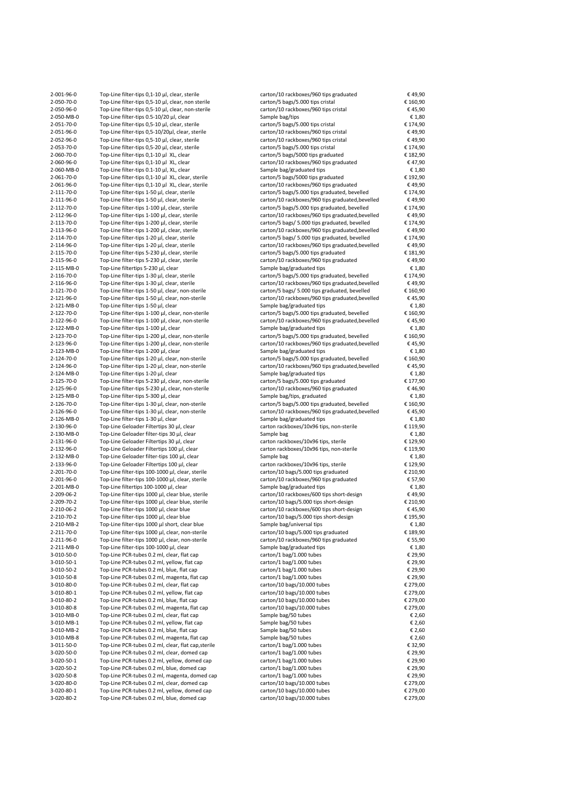| 2-001-96-0 | Top-Line filter-tips 0,1-10 µl, clear, sterile     | carton/10 rackboxes/960 tips graduated           | €49,90   |
|------------|----------------------------------------------------|--------------------------------------------------|----------|
| 2-050-70-0 | Top-Line filter-tips 0,5-10 µl, clear, non sterile | carton/5 bags/5.000 tips cristal                 | € 160,90 |
| 2-050-96-0 | Top-Line filter-tips 0,5-10 µl, clear, non-sterile | carton/10 rackboxes/960 tips cristal             | €45,90   |
| 2-050-MB-0 | Top-Line filter-tips 0.5-10/20 µl, clear           | Sample bag/tips                                  | €1,80    |
| 2-051-70-0 | Top-Line filter-tips 0,5-10 µl, clear, sterile     | carton/5 bags/5.000 tips cristal                 | € 174,90 |
| 2-051-96-0 | Top-Line filter-tips 0,5-10/20µl, clear, sterile   | carton/10 rackboxes/960 tips cristal             | €49,90   |
|            | Top-Line filter-tips 0,5-10 µl, clear, sterile     |                                                  | €49,90   |
| 2-052-96-0 |                                                    | carton/10 rackboxes/960 tips cristal             |          |
| 2-053-70-0 | Top-Line filter-tips 0,5-20 µl, clear, sterile     | carton/5 bags/5.000 tips cristal                 | € 174,90 |
| 2-060-70-0 | Top-Line filter-tips 0,1-10 µl XL, clear           | carton/5 bags/5000 tips graduated                | € 182,90 |
| 2-060-96-0 | Top-Line filter-tips 0,1-10 µl XL, clear           | carton/10 rackboxes/960 tips graduated           | €47,90   |
| 2-060-MB-0 | Top-Line filter-tips 0.1-10 µl, XL, clear          | Sample bag/graduated tips                        | €1,80    |
| 2-061-70-0 | Top-Line filter-tips 0,1-10 µl XL, clear, sterile  | carton/5 bags/5000 tips graduated                | € 192,90 |
| 2-061-96-0 | Top-Line filter-tips 0,1-10 µl XL, clear, sterile  | carton/10 rackboxes/960 tips graduated           | €49,90   |
| 2-111-70-0 | Top-Line filter-tips 1-50 µl, clear, sterile       | carton/5 bags/5.000 tips graduated, bevelled     | € 174,90 |
| 2-111-96-0 | Top-Line filter-tips 1-50 µl, clear, sterile       | carton/10 rackboxes/960 tips graduated, bevelled | €49,90   |
| 2-112-70-0 | Top-Line filter-tips 1-100 µl, clear, sterile      | carton/5 bags/5.000 tips graduated, bevelled     | € 174,90 |
| 2-112-96-0 | Top-Line filter-tips 1-100 µl, clear, sterile      | carton/10 rackboxes/960 tips graduated, bevelled | €49,90   |
| 2-113-70-0 | Top-Line filter-tips 1-200 µl, clear, sterile      | carton/5 bags/ 5.000 tips graduated, bevelled    | € 174,90 |
|            |                                                    |                                                  |          |
| 2-113-96-0 | Top-Line filter-tips 1-200 µl, clear, sterile      | carton/10 rackboxes/960 tips graduated, bevelled | €49,90   |
| 2-114-70-0 | Top-Line filter-tips 1-20 µl, clear, sterile       | carton/5 bags/ 5.000 tips graduated, bevelled    | € 174,90 |
| 2-114-96-0 | Top-Line filter-tips 1-20 µl, clear, sterile       | carton/10 rackboxes/960 tips graduated, bevelled | €49,90   |
| 2-115-70-0 | Top-Line filter-tips 5-230 µl, clear, sterile      | carton/5 bags/5.000 tips graduated               | € 181,90 |
| 2-115-96-0 | Top-Line filter-tips 5-230 µl, clear, sterile      | carton/10 rackboxes/960 tips graduated           | €49,90   |
| 2-115-MB-0 | Top-Line filtertips 5-230 µl, clear                | Sample bag/graduated tips                        | €1,80    |
| 2-116-70-0 | Top-Line filter-tips 1-30 µl, clear, sterile       | carton/5 bags/5.000 tips graduated, bevelled     | € 174,90 |
| 2-116-96-0 | Top-Line filter-tips 1-30 µl, clear, sterile       | carton/10 rackboxes/960 tips graduated, bevelled | €49,90   |
| 2-121-70-0 | Top-Line filter-tips 1-50 µl, clear, non-sterile   | carton/5 bags/ 5.000 tips graduated, bevelled    | € 160,90 |
| 2-121-96-0 | Top-Line filter-tips 1-50 µl, clear, non-sterile   | carton/10 rackboxes/960 tips graduated, bevelled | €45,90   |
| 2-121-MB-0 | Top-Line filter-tips 1-50 µl, clear                | Sample bag/graduated tips                        | €1,80    |
|            |                                                    |                                                  |          |
| 2-122-70-0 | Top-Line filter-tips 1-100 µl, clear, non-sterile  | carton/5 bags/5.000 tips graduated, bevelled     | € 160,90 |
| 2-122-96-0 | Top-Line filter-tips 1-100 µl, clear, non-sterile  | carton/10 rackboxes/960 tips graduated, bevelled | €45,90   |
| 2-122-MB-0 | Top-Line filter-tips 1-100 µl, clear               | Sample bag/graduated tips                        | €1,80    |
| 2-123-70-0 | Top-Line filter-tips 1-200 µl, clear, non-sterile  | carton/5 bags/5.000 tips graduated, bevelled     | € 160,90 |
| 2-123-96-0 | Top-Line filter-tips 1-200 µl, clear, non-sterile  | carton/10 rackboxes/960 tips graduated, bevelled | €45,90   |
| 2-123-MB-0 | Top-Line filter-tips 1-200 μl, clear               | Sample bag/graduated tips                        | €1,80    |
| 2-124-70-0 | Top-Line filter-tips 1-20 µl, clear, non-sterile   | carton/5 bags/5.000 tips graduated, bevelled     | € 160,90 |
| 2-124-96-0 | Top-Line filter-tips 1-20 µl, clear, non-sterile   | carton/10 rackboxes/960 tips graduated, bevelled | €45,90   |
| 2-124-MB-0 | Top-Line filter-tips 1-20 µl, clear                | Sample bag/graduated tips                        | €1,80    |
| 2-125-70-0 | Top-Line filter-tips 5-230 µl, clear, non-sterile  | carton/5 bags/5.000 tips graduated               | € 177,90 |
|            |                                                    |                                                  |          |
| 2-125-96-0 | Top-Line filter-tips 5-230 µl, clear, non-sterile  | carton/10 rackboxes/960 tips graduated           | €46,90   |
| 2-125-MB-0 | Top-Line filter-tips 5-300 µl, clear               | Sample bag/tips, graduated                       | €1,80    |
| 2-126-70-0 | Top-Line filter-tips 1-30 µl, clear, non-sterile   | carton/5 bags/5.000 tips graduated, bevelled     | € 160,90 |
| 2-126-96-0 | Top-Line filter-tips 1-30 µl, clear, non-sterile   | carton/10 rackboxes/960 tips graduated, bevelled | €45,90   |
| 2-126-MB-0 | Top-Line filter-tips 1-30 µl, clear                | Sample bag/graduated tips                        | €1,80    |
| 2-130-96-0 | Top-Line Geloader Filtertips 30 µl, clear          | carton rackboxes/10x96 tips, non-sterile         | € 119,90 |
| 2-130-MB-0 | Top-Line Geloader filter-tips 30 µl, clear         | Sample bag                                       | €1,80    |
| 2-131-96-0 | Top-Line Geloader Filtertips 30 µl, clear          | carton rackboxes/10x96 tips, sterile             | € 129,90 |
| 2-132-96-0 | Top-Line Geloader Filtertips 100 µl, clear         | carton rackboxes/10x96 tips, non-sterile         | € 119,90 |
| 2-132-MB-0 | Top-Line Geloader filter-tips 100 µl, clear        | Sample bag                                       | €1,80    |
| 2-133-96-0 | Top-Line Geloader Filtertips 100 µl, clear         | carton rackboxes/10x96 tips, sterile             | € 129,90 |
| 2-201-70-0 | Top-Line filter-tips 100-1000 µl, clear, sterile   |                                                  | € 210,90 |
|            |                                                    | carton/10 bags/5.000 tips graduated              |          |
| 2-201-96-0 | Top-Line filter-tips 100-1000 µl, clear, sterile   | carton/10 rackboxes/960 tips graduated           | € 57,90  |
| 2-201-MB-0 | Top-Line filtertips 100-1000 µl, clear             | Sample bag/graduated tips                        | € 1,80   |
| 2-209-06-2 | Top-Line filter-tips 1000 µl, clear blue, sterile  | carton/10 rackboxes/600 tips short-design        | €49,90   |
| 2-209-70-2 | Top-Line filter-tips 1000 µl, clear blue, sterile  | carton/10 bags/5.000 tips short-design           | € 210,90 |
| 2-210-06-2 | Top-Line filter-tips 1000 µl, clear blue           | carton/10 rackboxes/600 tips short-design        | €45,90   |
| 2-210-70-2 | Top-Line filter-tips 1000 μl, clear blue           | carton/10 bags/5.000 tips short-design           | € 195,90 |
| 2-210-MB-2 | Top-Line filter-tips 1000 µl short, clear blue     | Sample bag/universal tips                        | € 1,80   |
| 2-211-70-0 | Top-Line filter-tips 1000 µl, clear, non-sterile   | carton/10 bags/5.000 tips graduated              | € 189,90 |
| 2-211-96-0 | Top-Line filter-tips 1000 µl, clear, non-sterile   | carton/10 rackboxes/960 tips graduated           | € 55,90  |
| 2-211-MB-0 | Top-Line filter-tips 100-1000 µl, clear            | Sample bag/graduated tips                        | € 1,80   |
|            | Top-Line PCR-tubes 0.2 ml, clear, flat cap         |                                                  | € 29,90  |
| 3-010-50-0 |                                                    | carton/1 bag/1.000 tubes                         |          |
| 3-010-50-1 | Top-Line PCR-tubes 0.2 ml, yellow, flat cap        | carton/1 bag/1.000 tubes                         | € 29,90  |
| 3-010-50-2 | Top-Line PCR-tubes 0.2 ml, blue, flat cap          | carton/1 bag/1.000 tubes                         | € 29,90  |
| 3-010-50-8 | Top-Line PCR-tubes 0.2 ml, magenta, flat cap       | carton/1 bag/1.000 tubes                         | € 29,90  |
| 3-010-80-0 | Top-Line PCR-tubes 0.2 ml, clear, flat cap         | carton/10 bags/10.000 tubes                      | € 279,00 |
| 3-010-80-1 | Top-Line PCR-tubes 0.2 ml, yellow, flat cap        | carton/10 bags/10.000 tubes                      | € 279,00 |
| 3-010-80-2 | Top-Line PCR-tubes 0.2 ml, blue, flat cap          | carton/10 bags/10.000 tubes                      | € 279,00 |
| 3-010-80-8 | Top-Line PCR-tubes 0.2 ml, magenta, flat cap       | carton/10 bags/10.000 tubes                      | € 279,00 |
| 3-010-MB-0 | Top-Line PCR-tubes 0.2 ml, clear, flat cap         | Sample bag/50 tubes                              | € 2,60   |
| 3-010-MB-1 | Top-Line PCR-tubes 0.2 ml, yellow, flat cap        | Sample bag/50 tubes                              | € 2,60   |
| 3-010-MB-2 | Top-Line PCR-tubes 0.2 ml, blue, flat cap          | Sample bag/50 tubes                              | € 2,60   |
|            | Top-Line PCR-tubes 0.2 ml, magenta, flat cap       | Sample bag/50 tubes                              |          |
| 3-010-MB-8 |                                                    |                                                  | € 2,60   |
| 3-011-50-0 | Top-Line PCR-tubes 0.2 ml, clear, flat cap,sterile | carton/1 bag/1.000 tubes                         | € 32,90  |
| 3-020-50-0 | Top-Line PCR-tubes 0.2 ml, clear, domed cap        | carton/1 bag/1.000 tubes                         | € 29,90  |
| 3-020-50-1 | Top-Line PCR-tubes 0.2 ml, yellow, domed cap       | carton/1 bag/1.000 tubes                         | € 29,90  |
| 3-020-50-2 | Top-Line PCR-tubes 0.2 ml, blue, domed cap         | carton/1 bag/1.000 tubes                         | € 29,90  |
| 3-020-50-8 | Top-Line PCR-tubes 0.2 ml, magenta, domed cap      | carton/1 bag/1.000 tubes                         | € 29,90  |
| 3-020-80-0 | Top-Line PCR-tubes 0.2 ml, clear, domed cap        | carton/10 bags/10.000 tubes                      | € 279,00 |
| 3-020-80-1 | Top-Line PCR-tubes 0.2 ml, yellow, domed cap       | carton/10 bags/10.000 tubes                      | € 279,00 |
| 3-020-80-2 | Top-Line PCR-tubes 0.2 ml, blue, domed cap         | carton/10 bags/10.000 tubes                      | € 279,00 |
|            |                                                    |                                                  |          |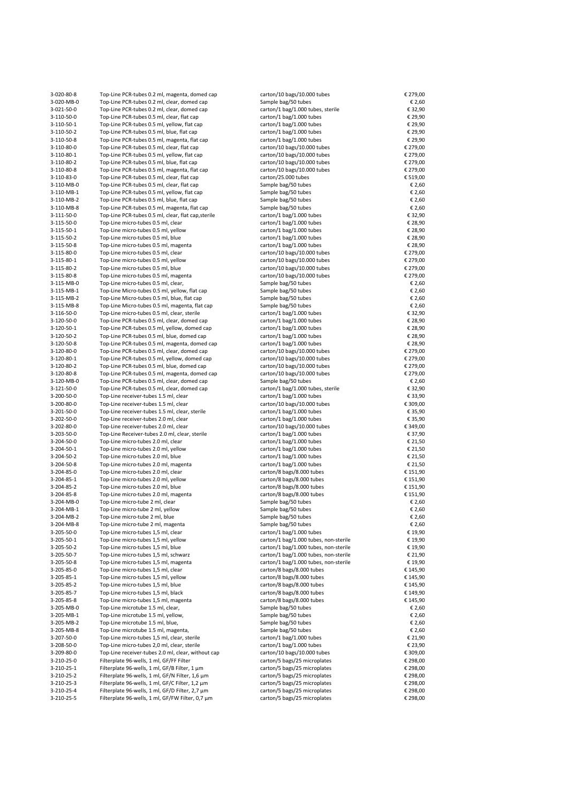| 3-020-80-8               | Top-Line PCR-tubes 0.2 ml, magenta, domed cap                                               | carton/10 bags/10.000 tubes                                | € 279,00             |
|--------------------------|---------------------------------------------------------------------------------------------|------------------------------------------------------------|----------------------|
| 3-020-MB-0               | Top-Line PCR-tubes 0.2 ml, clear, domed cap                                                 | Sample bag/50 tubes                                        | € 2,60               |
| 3-021-50-0               | Top-Line PCR-tubes 0.2 ml, clear, domed cap                                                 | carton/1 bag/1.000 tubes, sterile                          | € 32,90              |
| 3-110-50-0               | Top-Line PCR-tubes 0.5 ml, clear, flat cap                                                  | carton/1 bag/1.000 tubes                                   | € 29,90              |
| 3-110-50-1               | Top-Line PCR-tubes 0.5 ml, yellow, flat cap                                                 | carton/1 bag/1.000 tubes                                   | € 29,90              |
| 3-110-50-2<br>3-110-50-8 | Top-Line PCR-tubes 0.5 ml, blue, flat cap<br>Top-Line PCR-tubes 0.5 ml, magenta, flat cap   | carton/1 bag/1.000 tubes<br>carton/1 bag/1.000 tubes       | € 29,90<br>€ 29,90   |
| 3-110-80-0               | Top-Line PCR-tubes 0.5 ml, clear, flat cap                                                  | carton/10 bags/10.000 tubes                                | € 279,00             |
| 3-110-80-1               | Top-Line PCR-tubes 0.5 ml, yellow, flat cap                                                 | carton/10 bags/10.000 tubes                                | € 279,00             |
| 3-110-80-2               | Top-Line PCR-tubes 0.5 ml, blue, flat cap                                                   | carton/10 bags/10.000 tubes                                | € 279,00             |
| 3-110-80-8               | Top-Line PCR-tubes 0.5 ml, magenta, flat cap                                                | carton/10 bags/10.000 tubes                                | € 279,00             |
| 3-110-83-0               | Top-Line PCR-tubes 0.5 ml, clear, flat cap                                                  | carton/25.000 tubes                                        | € 519,00             |
| 3-110-MB-0               | Top-Line PCR-tubes 0.5 ml, clear, flat cap                                                  | Sample bag/50 tubes                                        | € 2,60               |
| 3-110-MB-1               | Top-Line PCR-tubes 0.5 ml, yellow, flat cap                                                 | Sample bag/50 tubes                                        | € 2,60               |
| 3-110-MB-2               | Top-Line PCR-tubes 0.5 ml, blue, flat cap                                                   | Sample bag/50 tubes                                        | € 2,60               |
| 3-110-MB-8               | Top-Line PCR-tubes 0.5 ml, magenta, flat cap                                                | Sample bag/50 tubes                                        | € 2,60               |
| 3-111-50-0               | Top-Line PCR-tubes 0.5 ml, clear, flat cap, sterile                                         | carton/1 bag/1.000 tubes                                   | € 32,90              |
| 3-115-50-0               | Top-Line micro-tubes 0.5 ml, clear                                                          | carton/1 bag/1.000 tubes                                   | € 28,90              |
| 3-115-50-1               | Top-Line micro-tubes 0.5 ml, yellow                                                         | carton/1 bag/1.000 tubes                                   | € 28,90              |
| 3-115-50-2               | Top-Line micro-tubes 0.5 ml, blue                                                           | carton/1 bag/1.000 tubes                                   | € 28,90              |
| 3-115-50-8<br>3-115-80-0 | Top-Line micro-tubes 0.5 ml, magenta<br>Top-Line micro-tubes 0.5 ml, clear                  | carton/1 bag/1.000 tubes<br>carton/10 bags/10.000 tubes    | € 28,90<br>€ 279,00  |
| 3-115-80-1               | Top-Line micro-tubes 0.5 ml, yellow                                                         | carton/10 bags/10.000 tubes                                | € 279,00             |
| 3-115-80-2               | Top-Line micro-tubes 0.5 ml, blue                                                           | carton/10 bags/10.000 tubes                                | € 279,00             |
| 3-115-80-8               | Top-Line micro-tubes 0.5 ml, magenta                                                        | carton/10 bags/10.000 tubes                                | € 279,00             |
| 3-115-MB-0               | Top-Line micro-tubes 0.5 ml, clear,                                                         | Sample bag/50 tubes                                        | € 2,60               |
| 3-115-MB-1               | Top-Line Micro-tubes 0.5 ml, yellow, flat cap                                               | Sample bag/50 tubes                                        | € 2,60               |
| 3-115-MB-2               | Top-Line Micro-tubes 0.5 ml, blue, flat cap                                                 | Sample bag/50 tubes                                        | € 2,60               |
| 3-115-MB-8               | Top-Line Micro-tubes 0.5 ml, magenta, flat cap                                              | Sample bag/50 tubes                                        | € 2,60               |
| 3-116-50-0               | Top-Line micro-tubes 0.5 ml, clear, sterile                                                 | carton/1 bag/1.000 tubes                                   | € 32,90              |
| 3-120-50-0               | Top-Line PCR-tubes 0.5 ml, clear, domed cap                                                 | carton/1 bag/1.000 tubes                                   | € 28,90              |
| 3-120-50-1               | Top-Line PCR-tubes 0.5 ml, yellow, domed cap                                                | carton/1 bag/1.000 tubes                                   | € 28,90              |
| 3-120-50-2               | Top-Line PCR-tubes 0.5 ml, blue, domed cap                                                  | carton/1 bag/1.000 tubes                                   | € 28,90              |
| 3-120-50-8               | Top-Line PCR-tubes 0.5 ml, magenta, domed cap                                               | carton/1 bag/1.000 tubes                                   | € 28,90              |
| 3-120-80-0               | Top-Line PCR-tubes 0.5 ml, clear, domed cap                                                 | carton/10 bags/10.000 tubes                                | € 279,00             |
| 3-120-80-1               | Top-Line PCR-tubes 0.5 ml, yellow, domed cap                                                | carton/10 bags/10.000 tubes                                | € 279,00<br>€ 279,00 |
| 3-120-80-2<br>3-120-80-8 | Top-Line PCR-tubes 0.5 ml, blue, domed cap<br>Top-Line PCR-tubes 0.5 ml, magenta, domed cap | carton/10 bags/10.000 tubes<br>carton/10 bags/10.000 tubes | € 279,00             |
| 3-120-MB-0               | Top-Line PCR-tubes 0.5 ml, clear, domed cap                                                 | Sample bag/50 tubes                                        | € 2,60               |
| 3-121-50-0               | Top-Line PCR-tubes 0.5 ml, clear, domed cap                                                 | carton/1 bag/1.000 tubes, sterile                          | € 32,90              |
| 3-200-50-0               | Top-Line receiver-tubes 1.5 ml, clear                                                       | carton/1 bag/1.000 tubes                                   | € 33,90              |
| 3-200-80-0               | Top-Line receiver-tubes 1.5 ml, clear                                                       | carton/10 bags/10.000 tubes                                | € 309,00             |
| 3-201-50-0               | Top-Line receiver-tubes 1.5 ml, clear, sterile                                              | carton/1 bag/1.000 tubes                                   | € 35,90              |
| 3-202-50-0               | Top-Line receiver-tubes 2.0 ml, clear                                                       | carton/1 bag/1.000 tubes                                   | € 35,90              |
| 3-202-80-0               | Top-Line receiver-tubes 2.0 ml, clear                                                       | carton/10 bags/10.000 tubes                                | € 349,00             |
| 3-203-50-0               | Top-Line Receiver-tubes 2.0 ml, clear, sterile                                              | carton/1 bag/1.000 tubes                                   | € 37,90              |
| 3-204-50-0               | Top-Line micro-tubes 2.0 ml, clear                                                          | carton/1 bag/1.000 tubes                                   | € 21,50              |
| 3-204-50-1               | Top-Line micro-tubes 2.0 ml, yellow                                                         | carton/1 bag/1.000 tubes                                   | € 21,50              |
| 3-204-50-2               | Top-Line micro-tubes 2.0 ml, blue                                                           | carton/1 bag/1.000 tubes                                   | € 21,50              |
| 3-204-50-8<br>3-204-85-0 | Top-Line micro-tubes 2.0 ml, magenta<br>Top-Line micro-tubes 2.0 ml, clear                  | carton/1 bag/1.000 tubes<br>carton/8 bags/8.000 tubes      | € 21,50<br>€ 151,90  |
| 3-204-85-1               | Top-Line micro-tubes 2.0 ml, yellow                                                         | carton/8 bags/8.000 tubes                                  | € 151,90             |
| 3-204-85-2               | Top-Line micro-tubes 2.0 ml, blue                                                           | carton/8 bags/8.000 tubes                                  | € 151,90             |
| 3-204-85-8               | Top-Line micro-tubes 2.0 ml, magenta                                                        | carton/8 bags/8.000 tubes                                  | € 151,90             |
| 3-204-MB-0               | Top-Line micro-tube 2 ml, clear                                                             | Sample bag/50 tubes                                        | € 2,60               |
| 3-204-MB-1               | Top-Line micro-tube 2 ml, yellow                                                            | Sample bag/50 tubes                                        | € 2,60               |
| 3-204-MB-2               | Top-Line micro-tube 2 ml, blue                                                              | Sample bag/50 tubes                                        | € 2,60               |
| 3-204-MB-8               | Top-Line micro-tube 2 ml, magenta                                                           | Sample bag/50 tubes                                        | € 2,60               |
| 3-205-50-0               | Top-Line micro-tubes 1,5 ml, clear                                                          | carton/1 bag/1.000 tubes                                   | € 19,90              |
| 3-205-50-1               | Top-Line micro-tubes 1,5 ml, yellow                                                         | carton/1 bag/1.000 tubes, non-sterile                      | € 19,90              |
| 3-205-50-2               | Top-Line micro-tubes 1,5 ml, blue                                                           | carton/1 bag/1.000 tubes, non-sterile                      | € 19,90              |
| 3-205-50-7               | Top-Line micro-tubes 1,5 ml, schwarz                                                        | carton/1 bag/1.000 tubes, non-sterile                      | € 21,90              |
| 3-205-50-8               | Top-Line micro-tubes 1,5 ml, magenta                                                        | carton/1 bag/1.000 tubes, non-sterile                      | € 19,90              |
| 3-205-85-0               | Top-Line micro-tubes 1,5 ml, clear                                                          | carton/8 bags/8.000 tubes                                  | € 145,90             |
| 3-205-85-1               | Top-Line micro-tubes 1,5 ml, yellow                                                         | carton/8 bags/8.000 tubes<br>carton/8 bags/8.000 tubes     | € 145,90             |
| 3-205-85-2<br>3-205-85-7 | Top-Line micro-tubes 1,5 ml, blue<br>Top-Line micro-tubes 1,5 ml, black                     | carton/8 bags/8.000 tubes                                  | € 145,90<br>€ 149,90 |
| 3-205-85-8               | Top-Line micro-tubes 1,5 ml, magenta                                                        | carton/8 bags/8.000 tubes                                  | € 145,90             |
| 3-205-MB-0               | Top-Line microtube 1.5 ml, clear,                                                           | Sample bag/50 tubes                                        | € 2,60               |
| 3-205-MB-1               | Top-Line microtube 1.5 ml, yellow,                                                          | Sample bag/50 tubes                                        | € 2,60               |
| 3-205-MB-2               | Top-Line microtube 1.5 ml, blue,                                                            | Sample bag/50 tubes                                        | € 2,60               |
| 3-205-MB-8               | Top-Line microtube 1.5 ml, magenta,                                                         | Sample bag/50 tubes                                        | € 2,60               |
| 3-207-50-0               | Top-Line micro-tubes 1,5 ml, clear, sterile                                                 | carton/1 bag/1.000 tubes                                   | € 21,90              |
| 3-208-50-0               | Top-Line micro-tubes 2,0 ml, clear, sterile                                                 | carton/1 bag/1.000 tubes                                   | € 23,90              |
| 3-209-80-0               | Top-Line receiver-tubes 2.0 ml, clear, without cap                                          | carton/10 bags/10.000 tubes                                | € 309,00             |
| 3-210-25-0               | Filterplate 96-wells, 1 ml, GF/FF Filter                                                    | carton/5 bags/25 microplates                               | € 298,00             |
| 3-210-25-1               | Filterplate 96-wells, 1 ml, GF/B Filter, 1 µm                                               | carton/5 bags/25 microplates                               | € 298,00             |
| 3-210-25-2               | Filterplate 96-wells, 1 ml, GF/N Filter, 1,6 µm                                             | carton/5 bags/25 microplates                               | € 298,00             |
| 3-210-25-3               | Filterplate 96-wells, 1 ml, GF/C Filter, 1,2 µm                                             | carton/5 bags/25 microplates                               | € 298,00             |
| 3-210-25-4               | Filterplate 96-wells, 1 ml, GF/D Filter, 2,7 µm                                             | carton/5 bags/25 microplates                               | € 298,00             |
| 3-210-25-5               | Filterplate 96-wells, 1 ml, GF/FW Filter, 0,7 µm                                            | carton/5 bags/25 microplates                               | € 298,00             |

| rton/10 bags/10.000 tubes<br>mple bag/50 tubes | € 279,00<br>€ 2,60 |
|------------------------------------------------|--------------------|
| rton/1 bag/1.000 tubes, sterile                | € 32,90            |
| rton/1 bag/1.000 tubes                         | € 29,90            |
| rton/1 bag/1.000 tubes                         | € 29,90            |
| rton/1 bag/1.000 tubes                         | € 29,90            |
| rton/1 bag/1.000 tubes                         | € 29,90            |
| rton/10 bags/10.000 tubes                      | € 279,00           |
| rton/10 bags/10.000 tubes                      | € 279,00           |
| rton/10 bags/10.000 tubes                      | € 279,00           |
| rton/10 bags/10.000 tubes                      | € 279,00           |
| rton/25.000 tubes                              | € 519,00           |
| mple bag/50 tubes                              | € 2,60             |
| mple bag/50 tubes                              | € 2,60             |
| mple bag/50 tubes                              | € 2,60             |
| mple bag/50 tubes                              | € 2,60             |
| rton/1 bag/1.000 tubes                         | € 32,90            |
| rton/1 bag/1.000 tubes                         | € 28,90            |
| rton/1 bag/1.000 tubes                         | € 28,90            |
| rton/1 bag/1.000 tubes                         | € 28,90            |
| rton/1 bag/1.000 tubes                         | € 28,90            |
| rton/10 bags/10.000 tubes                      | € 279,00           |
| rton/10 bags/10.000 tubes                      | € 279,00           |
| rton/10 bags/10.000 tubes                      | € 279,00           |
| rton/10 bags/10.000 tubes                      | € 279,00           |
| mple bag/50 tubes                              | € 2,60             |
| mple bag/50 tubes                              | € 2,60<br>€ 2,60   |
| mple bag/50 tubes<br>mple bag/50 tubes         | € 2,60             |
| rton/1 bag/1.000 tubes                         | € 32,90            |
| rton/1 bag/1.000 tubes                         | € 28,90            |
| rton/1 bag/1.000 tubes                         | € 28,90            |
| rton/1 bag/1.000 tubes                         | € 28,90            |
| rton/1 bag/1.000 tubes                         | € 28,90            |
| rton/10 bags/10.000 tubes                      | € 279,00           |
| rton/10 bags/10.000 tubes                      | € 279,00           |
| rton/10 bags/10.000 tubes                      | € 279,00           |
| rton/10 bags/10.000 tubes                      | € 279,00           |
| mple bag/50 tubes                              | € 2,60             |
| rton/1 bag/1.000 tubes, sterile                | € 32,90            |
| rton/1 bag/1.000 tubes                         | € 33,90            |
| rton/10 bags/10.000 tubes                      | € 309,00           |
| rton/1 bag/1.000 tubes                         | € 35,90            |
| rton/1 bag/1.000 tubes                         | € 35,90            |
| rton/10 bags/10.000 tubes                      | € 349,00           |
| rton/1 bag/1.000 tubes                         | € 37,90            |
| rton/1 bag/1.000 tubes                         | € 21,50            |
| rton/1 bag/1.000 tubes                         | € 21,50            |
| rton/1 bag/1.000 tubes                         | € 21,50            |
| rton/1 bag/1.000 tubes                         | € 21,50            |
| rton/8 bags/8.000 tubes                        | € 151,90           |
| rton/8 bags/8.000 tubes                        | € 151,90           |
| rton/8 bags/8.000 tubes                        | € 151,90           |
| rton/8 bags/8.000 tubes                        | € 151,90           |
| mple bag/50 tubes                              | € 2,60             |
| mple bag/50 tubes                              | € 2,60             |
| mple bag/50 tubes                              | € 2,60<br>€ 2,60   |
| mple bag/50 tubes<br>rton/1 bag/1.000 tubes    | € 19,90            |
| rton/1 bag/1.000 tubes, non-sterile            | € 19,90            |
| rton/1 bag/1.000 tubes, non-sterile            | € 19,90            |
| rton/1 bag/1.000 tubes, non-sterile            | € 21,90            |
| rton/1 bag/1.000 tubes, non-sterile            | € 19,90            |
| rton/8 bags/8.000 tubes                        | € 145,90           |
| rton/8 bags/8.000 tubes                        | € 145,90           |
| rton/8 bags/8.000 tubes                        | € 145,90           |
| rton/8 bags/8.000 tubes                        | € 149,90           |
| rton/8 bags/8.000 tubes                        | € 145,90           |
| mple bag/50 tubes                              | € 2,60             |
| mple bag/50 tubes                              | € 2,60             |
| mple bag/50 tubes                              | € 2,60             |
| mple bag/50 tubes                              | € 2,60             |
| rton/1 bag/1.000 tubes                         | € 21,90            |
| rton/1 bag/1.000 tubes                         | € 23,90            |
| rton/10 bags/10.000 tubes                      | € 309,00           |
| rton/5 bags/25 microplates                     | € 298,00           |
| rton/5 bags/25 microplates                     | € 298,00           |
| rton/5 bags/25 microplates                     | € 298,00           |
| rton/5 bags/25 microplates                     | € 298,00           |
| rton/5 bags/25 microplates                     | € 298,00           |
| rton/5 bags/25 microplates                     | € 298,00           |
|                                                |                    |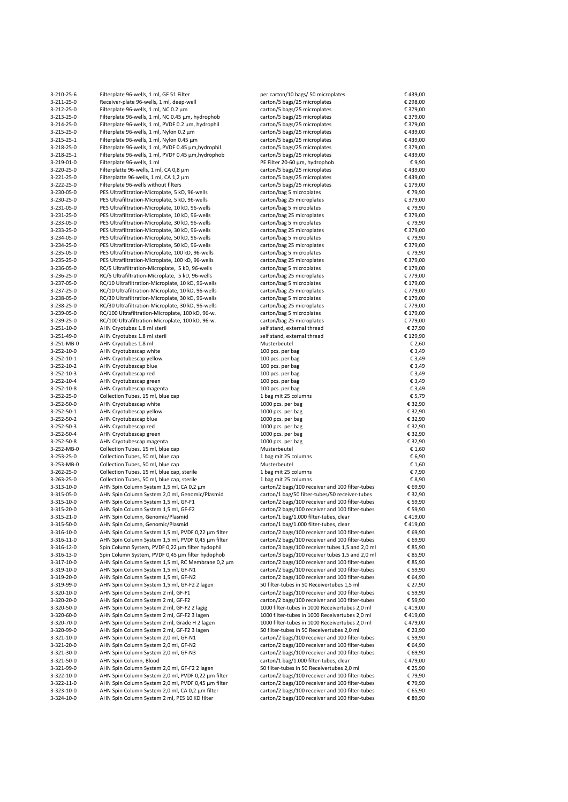| 3-210-25-6         | Filterplate 96-wells, 1 ml, GF 51 Filter            | per carton/10 bags/ 50 microplates                                                                 | €439,00            |
|--------------------|-----------------------------------------------------|----------------------------------------------------------------------------------------------------|--------------------|
| 3-211-25-0         | Receiver-plate 96-wells, 1 ml, deep-well            | carton/5 bags/25 microplates                                                                       | € 298,00           |
| 3-212-25-0         | Filterplate 96-wells, 1 ml, NC 0.2 µm               | carton/5 bags/25 microplates                                                                       | € 379,00           |
| 3-213-25-0         | Filterplate 96-wells, 1 ml, NC 0.45 µm, hydrophob   | carton/5 bags/25 microplates                                                                       | € 379,00           |
| 3-214-25-0         | Filterplate 96-wells, 1 ml, PVDF 0.2 µm, hydrophil  | carton/5 bags/25 microplates                                                                       | € 379,00           |
| 3-215-25-0         | Filterplate 96-wells, 1 ml, Nylon 0.2 µm            | carton/5 bags/25 microplates                                                                       | €439,00            |
| 3-215-25-1         | Filterplate 96-wells, 1 ml, Nylon 0.45 µm           | carton/5 bags/25 microplates                                                                       | €439,00            |
| 3-218-25-0         | Filterplate 96-wells, 1 ml, PVDF 0.45 µm, hydrophil | carton/5 bags/25 microplates                                                                       | € 379,00           |
| $3 - 218 - 25 - 1$ | Filterplate 96-wells, 1 ml, PVDF 0.45 µm, hydrophob | carton/5 bags/25 microplates                                                                       | €439,00            |
| 3-219-01-0         | Filterplate 96-wells, 1 ml                          | PE Filter 20-60 µm, hydrophob                                                                      | €9,90              |
| 3-220-25-0         | Filterplatte 96-wells, 1 ml, CA 0,8 µm              |                                                                                                    | €439,00            |
|                    |                                                     | carton/5 bags/25 microplates                                                                       |                    |
| 3-221-25-0         | Filterplatte 96-wells, 1 ml, CA 1,2 µm              | carton/5 bags/25 microplates                                                                       | €439,00            |
| 3-222-25-0         | Filterplate 96-wells without filters                | carton/5 bags/25 microplates                                                                       | € 179,00           |
| 3-230-05-0         | PES Ultrafiltration-Microplate, 5 kD, 96-wells      | carton/bag 5 microplates                                                                           | €79,90             |
| 3-230-25-0         | PES Ultrafiltration-Microplate, 5 kD, 96-wells      | carton/bag 25 microplates                                                                          | € 379,00           |
| 3-231-05-0         | PES Ultrafiltration-Microplate, 10 kD, 96-wells     | carton/bag 5 microplates                                                                           | €79,90             |
| 3-231-25-0         | PES Ultrafiltration-Microplate, 10 kD, 96-wells     | carton/bag 25 microplates                                                                          | € 379,00           |
| 3-233-05-0         | PES Ultrafiltration-Microplate, 30 kD, 96-wells     | carton/bag 5 microplates                                                                           | €79,90             |
| 3-233-25-0         | PES Ultrafiltration-Microplate, 30 kD, 96-wells     | carton/bag 25 microplates                                                                          | €379,00            |
| 3-234-05-0         | PES Ultrafiltration-Microplate, 50 kD, 96-wells     | carton/bag 5 microplates                                                                           | €79,90             |
| 3-234-25-0         | PES Ultrafiltration-Microplate, 50 kD, 96-wells     | carton/bag 25 microplates                                                                          | €379,00            |
| 3-235-05-0         | PES Ultrafiltration-Microplate, 100 kD, 96-wells    | carton/bag 5 microplates                                                                           | €79,90             |
| 3-235-25-0         | PES Ultrafiltration-Microplate, 100 kD, 96-wells    | carton/bag 25 microplates                                                                          | € 379,00           |
| 3-236-05-0         | RC/5 Ultrafiltration-Microplate, 5 kD, 96-wells     | carton/bag 5 microplates                                                                           | € 179,00           |
| 3-236-25-0         | RC/5 Ultrafiltration-Microplate, 5 kD, 96-wells     | carton/bag 25 microplates                                                                          | € 779,00           |
| 3-237-05-0         | RC/10 Ultrafiltration-Microplate, 10 kD, 96-wells   | carton/bag 5 microplates                                                                           | € 179,00           |
| 3-237-25-0         | RC/10 Ultrafiltration-Microplate, 10 kD, 96-wells   | carton/bag 25 microplates                                                                          | € 779,00           |
|                    |                                                     |                                                                                                    |                    |
| 3-238-05-0         | RC/30 Ultrafiltration-Microplate, 30 kD, 96-wells   | carton/bag 5 microplates                                                                           | € 179,00           |
| 3-238-25-0         | RC/30 Ultrafiltration-Microplate, 30 kD, 96-wells   | carton/bag 25 microplates                                                                          | €779,00            |
| 3-239-05-0         | RC/100 Ultrafiltration-Microplate, 100 kD, 96-w.    | carton/bag 5 microplates                                                                           | € 179,00           |
| 3-239-25-0         | RC/100 Ultrafiltration-Microplate, 100 kD, 96-w.    | carton/bag 25 microplates                                                                          | € 779,00           |
| 3-251-10-0         | AHN Cryotubes 1.8 ml steril                         | self stand, external thread                                                                        | € 27,90            |
| 3-251-49-0         | AHN Cryotubes 1.8 ml steril                         | self stand, external thread                                                                        | € 129,90           |
| 3-251-MB-0         | AHN Cryotubes 1.8 ml                                | Musterbeutel                                                                                       | € 2,60             |
| 3-252-10-0         | AHN Cryotubescap white                              | 100 pcs. per bag                                                                                   | € 3,49             |
| 3-252-10-1         | AHN Cryotubescap yellow                             | 100 pcs. per bag                                                                                   | € 3,49             |
| 3-252-10-2         | AHN Cryotubescap blue                               | 100 pcs. per bag                                                                                   | € 3,49             |
| 3-252-10-3         | AHN Cryotubescap red                                | 100 pcs. per bag                                                                                   | € 3,49             |
| 3-252-10-4         | AHN Cryotubescap green                              | 100 pcs. per bag                                                                                   | € 3,49             |
| 3-252-10-8         | AHN Cryotubescap magenta                            | 100 pcs. per bag                                                                                   | € 3,49             |
| 3-252-25-0         | Collection Tubes, 15 ml, blue cap                   | 1 bag mit 25 columns                                                                               | € 5,79             |
| 3-252-50-0         | AHN Cryotubescap white                              | 1000 pcs. per bag                                                                                  | € 32,90            |
| 3-252-50-1         | AHN Cryotubescap yellow                             | 1000 pcs. per bag                                                                                  | € 32,90            |
| 3-252-50-2         | AHN Cryotubescap blue                               | 1000 pcs. per bag                                                                                  | € 32,90            |
| 3-252-50-3         | AHN Cryotubescap red                                | 1000 pcs. per bag                                                                                  | € 32,90            |
| 3-252-50-4         | AHN Cryotubescap green                              | 1000 pcs. per bag                                                                                  | € 32,90            |
| 3-252-50-8         | AHN Cryotubescap magenta                            | 1000 pcs. per bag                                                                                  |                    |
|                    |                                                     |                                                                                                    | € 32,90            |
| 3-252-MB-0         | Collection Tubes, 15 ml, blue cap                   | Musterbeutel                                                                                       | € 1,60             |
| 3-253-25-0         | Collection Tubes, 50 ml, blue cap                   | 1 bag mit 25 columns                                                                               | € 6,90             |
| 3-253-MB-0         | Collection Tubes, 50 ml, blue cap                   | Musterbeutel                                                                                       | € 1,60             |
| 3-262-25-0         | Collection Tubes, 15 ml, blue cap, sterile          | 1 bag mit 25 columns                                                                               | € 7,90             |
| 3-263-25-0         | Collection Tubes, 50 ml, blue cap, sterile          | 1 bag mit 25 columns                                                                               | € 8,90             |
| 3-313-10-0         | AHN Spin Column System 1,5 ml, CA 0,2 µm            | carton/2 bags/100 receiver and 100 filter-tubes                                                    | € 69,90            |
| 3-315-05-0         | AHN Spin Column System 2,0 ml, Genomic/Plasmid      | carton/1 bag/50 filter-tubes/50 receiver-tubes                                                     | € 32,90            |
| 3-315-10-0         | AHN Spin Column System 1,5 ml, GF-F1                | carton/2 bags/100 receiver and 100 filter-tubes                                                    | € 59,90            |
| 3-315-20-0         | AHN Spin Column System 1,5 ml, GF-F2                | carton/2 bags/100 receiver and 100 filter-tubes                                                    | € 59,90            |
| 3-315-21-0         | AHN Spin Column, Genomic/Plasmid                    | carton/1 bag/1.000 filter-tubes, clear                                                             | €419,00            |
| 3-315-50-0         | AHN Spin Column, Genomic/Plasmid                    | carton/1 bag/1.000 filter-tubes, clear                                                             | €419,00            |
| 3-316-10-0         | AHN Spin Column System 1,5 ml, PVDF 0,22 µm filter  | carton/2 bags/100 receiver and 100 filter-tubes                                                    | € 69,90            |
| 3-316-11-0         | AHN Spin Column System 1,5 ml, PVDF 0,45 µm filter  | carton/2 bags/100 receiver and 100 filter-tubes                                                    | € 69,90            |
| 3-316-12-0         | Spin Column System, PVDF 0,22 um filter hydophil    | carton/3 bags/100 receiver tubes 1,5 and 2,0 ml                                                    | € 85,90            |
| 3-316-13-0         | Spin Column System, PVDF 0,45 µm filter hydophob    | carton/3 bags/100 receiver tubes 1,5 and 2,0 ml                                                    | € 85,90            |
| 3-317-10-0         | AHN Spin Column System 1,5 ml, RC Membrane 0,2 µm   | carton/2 bags/100 receiver and 100 filter-tubes                                                    | € 85,90            |
| 3-319-10-0         | AHN Spin Column System 1,5 ml, GF-N1                | carton/2 bags/100 receiver and 100 filter-tubes                                                    | € 59,90            |
| 3-319-20-0         | AHN Spin Column System 1,5 ml, GF-N2                | carton/2 bags/100 receiver and 100 filter-tubes                                                    | € 64,90            |
| 3-319-99-0         | AHN Spin Column System 1,5 ml, GF-F2 2 lagen        | 50 filter-tubes in 50 Receivertubes 1,5 ml                                                         | € 27,90            |
| 3-320-10-0         | AHN Spin Column System 2 ml, GF-F1                  |                                                                                                    |                    |
| 3-320-20-0         | AHN Spin Column System 2 ml, GF-F2                  | carton/2 bags/100 receiver and 100 filter-tubes<br>carton/2 bags/100 receiver and 100 filter-tubes | € 59,90<br>€ 59,90 |
|                    |                                                     |                                                                                                    |                    |
| 3-320-50-0         | AHN Spin Column System 2 ml, GF-F2 2 lagig          | 1000 filter-tubes in 1000 Receivertubes 2,0 ml                                                     | €419,00            |
| 3-320-60-0         | AHN Spin Column System 2 ml, GF-F2 3 lagen          | 1000 filter-tubes in 1000 Receivertubes 2,0 ml                                                     | €419,00            |
| 3-320-70-0         | AHN Spin Column System 2 ml, Grade H 2 lagen        | 1000 filter-tubes in 1000 Receivertubes 2,0 ml                                                     | €479,00            |
| 3-320-99-0         | AHN Spin Column System 2 ml, GF-F2 3 lagen          | 50 filter-tubes in 50 Receivertubes 2,0 ml                                                         | € 23,90            |
| 3-321-10-0         | AHN Spin Column System 2,0 ml, GF-N1                | carton/2 bags/100 receiver and 100 filter-tubes                                                    | € 59,90            |
| 3-321-20-0         | AHN Spin Column System 2,0 ml, GF-N2                | carton/2 bags/100 receiver and 100 filter-tubes                                                    | € 64,90            |
| 3-321-30-0         | AHN Spin Column System 2,0 ml, GF-N3                | carton/2 bags/100 receiver and 100 filter-tubes                                                    | € 69,90            |
| 3-321-50-0         | AHN Spin Column, Blood                              | carton/1 bag/1.000 filter-tubes, clear                                                             | €479,00            |
| 3-321-99-0         | AHN Spin Column System 2,0 ml, GF-F2 2 lagen        | 50 filter-tubes in 50 Receivertubes 2,0 ml                                                         | € 25,90            |
| 3-322-10-0         | AHN Spin Column System 2,0 ml, PVDF 0,22 µm filter  | carton/2 bags/100 receiver and 100 filter-tubes                                                    | €79,90             |
| 3-322-11-0         | AHN Spin Column System 2,0 ml, PVDF 0,45 µm filter  | carton/2 bags/100 receiver and 100 filter-tubes                                                    | €79,90             |
| 3-323-10-0         | AHN Spin Column System 2,0 ml, CA 0,2 µm filter     | carton/2 bags/100 receiver and 100 filter-tubes                                                    | € 65,90            |
| 3-324-10-0         | AHN Spin Column System 2 ml, PES 10 KD filter       | carton/2 bags/100 receiver and 100 filter-tubes                                                    | € 89,90            |
|                    |                                                     |                                                                                                    |                    |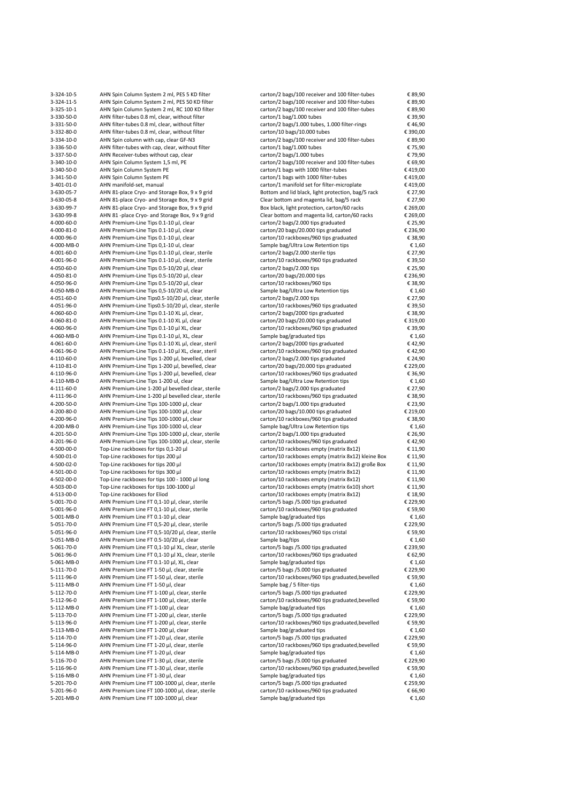| 3-324-10-5               | AHN Spin Column System 2 ml, PES 5 KD filter                                              | carton/2 bags/100 receiver and 100 filter-tubes                     | € 89,90           |
|--------------------------|-------------------------------------------------------------------------------------------|---------------------------------------------------------------------|-------------------|
| 3-324-11-5               | AHN Spin Column System 2 ml, PES 50 KD filter                                             | carton/2 bags/100 receiver and 100 filter-tubes                     | € 89,90           |
| 3-325-10-1               | AHN Spin Column System 2 ml, RC 100 KD filter                                             | carton/2 bags/100 receiver and 100 filter-tubes                     | € 89,90           |
|                          |                                                                                           |                                                                     |                   |
| 3-330-50-0               | AHN filter-tubes 0.8 ml, clear, without filter                                            | carton/1 bag/1.000 tubes                                            | € 39,90           |
| 3-331-50-0               | AHN filter-tubes 0.8 ml, clear, without filter                                            | carton/2 bags/1.000 tubes, 1.000 filter-rings                       | €46,90            |
| 3-332-80-0               | AHN filter-tubes 0.8 ml, clear, without filter                                            | carton/10 bags/10.000 tubes                                         | € 390,00          |
| 3-334-10-0               | AHN Spin column with cap, clear GF-N3                                                     | carton/2 bags/100 receiver and 100 filter-tubes                     | € 89,90           |
| 3-336-50-0               | AHN filter-tubes with cap, clear, without filter                                          | carton/1 bag/1.000 tubes                                            | € 75,90           |
|                          |                                                                                           |                                                                     |                   |
| 3-337-50-0               | AHN Receiver-tubes without cap, clear                                                     | carton/2 bags/1.000 tubes                                           | € 79,90           |
| 3-340-10-0               | AHN Spin Column System 1,5 ml, PE                                                         | carton/2 bags/100 receiver and 100 filter-tubes                     | € 69,90           |
| 3-340-50-0               | AHN Spin Column System PE                                                                 | carton/1 bags with 1000 filter-tubes                                | €419,00           |
| 3-341-50-0               |                                                                                           | carton/1 bags with 1000 filter-tubes                                | €419,00           |
|                          | AHN Spin Column System PE                                                                 |                                                                     |                   |
| 3-401-01-0               | AHN manifold-set, manual                                                                  | carton/1 manifold set for filter-microplate                         | €419,00           |
| 3-630-05-7               | AHN 81-place Cryo- and Storage Box, 9 x 9 grid                                            | Bottom and lid black, light protection, bag/5 rack                  | € 27,90           |
| 3-630-05-8               | AHN 81-place Cryo- and Storage Box, 9 x 9 grid                                            | Clear bottom and magenta lid, bag/5 rack                            | € 27,90           |
|                          | AHN 81-place Cryo- and Storage Box, 9 x 9 grid                                            |                                                                     | € 269,00          |
| 3-630-99-7               |                                                                                           | Box black, light protection, carton/60 racks                        |                   |
| 3-630-99-8               | AHN 81-place Cryo- and Storage Box, 9 x 9 grid                                            | Clear bottom and magenta lid, carton/60 racks                       | € 269,00          |
| 4-000-60-0               | AHN Premium-Line Tips 0.1-10 µl, clear                                                    | carton/2 bags/2.000 tips graduated                                  | € 25,90           |
| 4-000-81-0               | AHN Premium-Line Tips 0.1-10 µl, clear                                                    | carton/20 bags/20.000 tips graduated                                | € 236,90          |
|                          |                                                                                           |                                                                     |                   |
| 4-000-96-0               | AHN Premium-Line Tips 0.1-10 µl, clear                                                    | carton/10 rackboxes/960 tips graduated                              | € 38,90           |
| 4-000-MB-0               | AHN Premium-Line Tips 0,1-10 ul, clear                                                    | Sample bag/Ultra Low Retention tips                                 | € 1,60            |
| 4-001-60-0               | AHN Premium-Line Tips 0.1-10 µl, clear, sterile                                           | carton/2 bags/2.000 sterile tips                                    | € 27,90           |
| 4-001-96-0               | AHN Premium-Line Tips 0.1-10 µl, clear, sterile                                           | carton/10 rackboxes/960 tips graduated                              | € 39,50           |
|                          |                                                                                           |                                                                     |                   |
| 4-050-60-0               | AHN Premium-Line Tips 0.5-10/20 µl, clear                                                 | carton/2 bags/2.000 tips                                            | € 25,90           |
| 4-050-81-0               | AHN Premium-Line Tips 0.5-10/20 µl, clear                                                 | carton/20 bags/20.000 tips                                          | € 236,90          |
| 4-050-96-0               | AHN Premium-Line Tips 0.5-10/20 µl, clear                                                 | carton/10 rackboxes/960 tips                                        | € 38,90           |
| 4-050-MB-0               | AHN Premium-Line Tips 0,5-10/20 ul, clear                                                 | Sample bag/Ultra Low Retention tips                                 | € 1,60            |
|                          |                                                                                           |                                                                     |                   |
| 4-051-60-0               | AHN Premium-Line Tips0.5-10/20 µl, clear, sterile                                         | carton/2 bags/2.000 tips                                            | € 27,90           |
| 4-051-96-0               | AHN Premium-Line Tips0.5-10/20 µl, clear, sterile                                         | carton/10 rackboxes/960 tips graduated                              | € 39,50           |
| 4-060-60-0               | AHN Premium-Line Tips 0.1-10 XL µl, clear,                                                | carton/2 bags/2000 tips graduated                                   | € 38,90           |
| 4-060-81-0               | AHN Premium-Line Tips 0.1-10 XL µl, clear                                                 | carton/20 bags/20.000 tips graduated                                | € 319,00          |
|                          |                                                                                           |                                                                     |                   |
| 4-060-96-0               | AHN Premium-Line Tips 0.1-10 µl XL, clear                                                 | carton/10 rackboxes/960 tips graduated                              | € 39,90           |
| 4-060-MB-0               | AHN Premium-Line Tips 0.1-10 µl, XL, clear                                                | Sample bag/graduated tips                                           | € 1,60            |
| 4-061-60-0               | AHN Premium-Line Tips 0.1-10 XL µl, clear, steril                                         | carton/2 bags/2000 tips graduated                                   | €42,90            |
| 4-061-96-0               | AHN Premium-Line Tips 0.1-10 µl XL, clear, steril                                         | carton/10 rackboxes/960 tips graduated                              | €42,90            |
|                          |                                                                                           |                                                                     |                   |
| 4-110-60-0               | AHN Premium-Line Tips 1-200 µl, bevelled, clear                                           | carton/2 bags/2.000 tips graduated                                  | € 24,90           |
| 4-110-81-0               | AHN Premium-Line Tips 1-200 µl, bevelled, clear                                           | carton/20 bags/20.000 tips graduated                                | € 229,00          |
| 4-110-96-0               | AHN Premium-Line Tips 1-200 µl, bevelled, clear                                           | carton/10 rackboxes/960 tips graduated                              | € 36,90           |
|                          |                                                                                           |                                                                     |                   |
| 4-110-MB-0               | AHN Premium-Line Tips 1-200 ul, clear                                                     | Sample bag/Ultra Low Retention tips                                 | € 1,60            |
| 4-111-60-0               | AHN Premium-Line 1-200 µl bevelled clear, sterile                                         | carton/2 bags/2.000 tips graduated                                  | € 27,90           |
| 4-111-96-0               | AHN Premium-Line 1-200 µl bevelled clear, sterile                                         | carton/10 rackboxes/960 tips graduated                              | € 38,90           |
| 4-200-50-0               | AHN Premium-Line Tips 100-1000 µl, clear                                                  | carton/2 bags/1.000 tips graduated                                  | € 23,90           |
|                          |                                                                                           |                                                                     |                   |
| 4-200-80-0               | AHN Premium-Line Tips 100-1000 µl, clear                                                  | carton/20 bags/10.000 tips graduated                                | € 219,00          |
| 4-200-96-0               | AHN Premium-Line Tips 100-1000 µl, clear                                                  | carton/10 rackboxes/960 tips graduated                              | € 38,90           |
| 4-200-MB-0               | AHN Premium-Line Tips 100-1000 ul, clear                                                  | Sample bag/Ultra Low Retention tips                                 | € 1,60            |
| 4-201-50-0               | AHN Premium-Line Tips 100-1000 µl, clear, sterile                                         | carton/2 bags/1.000 tips graduated                                  | € 26,90           |
|                          |                                                                                           |                                                                     |                   |
| 4-201-96-0               | AHN Premium-Line Tips 100-1000 µl, clear, sterile                                         | carton/10 rackboxes/960 tips graduated                              | €42,90            |
| 4-500-00-0               | Top-Line rackboxes for tips 0,1-20 µl                                                     | carton/10 rackboxes empty (matrix 8x12)                             | € 11,90           |
| 4-500-01-0               | Top-Line rackboxes for tips 200 µl                                                        | carton/10 rackboxes empty (matrix 8x12) kleine Box                  | € 11,90           |
| 4-500-02-0               | Top-Line rackboxes for tips 200 µl                                                        | carton/10 rackboxes empty (matrix 8x12) große Box                   | € 11,90           |
| 4-501-00-0               |                                                                                           |                                                                     |                   |
|                          |                                                                                           |                                                                     |                   |
|                          | Top-Line rackboxes for tips 300 µl                                                        | carton/10 rackboxes empty (matrix 8x12)                             | € 11,90           |
| 4-502-00-0               | Top-Line rackboxes for tips 100 - 1000 µl long                                            | carton/10 rackboxes empty (matrix 8x12)                             | € 11,90           |
|                          |                                                                                           |                                                                     |                   |
| 4-503-00-0               | Top-Line rackboxes for tips 100-1000 µl                                                   | carton/10 rackboxes empty (matrix 6x10) short                       | € 11,90           |
| 4-513-00-0               | Top-Line rackboxes for Eliod                                                              | carton/10 rackboxes empty (matrix 8x12)                             | € 18,90           |
| 5-001-70-0               | AHN Premium Line FT 0,1-10 µl, clear, sterile                                             | carton/5 bags /5.000 tips graduated                                 | € 229,90          |
| 5-001-96-0               | AHN Premium Line FT 0,1-10 µl, clear, sterile                                             | carton/10 rackboxes/960 tips graduated                              | € 59,90           |
|                          |                                                                                           |                                                                     |                   |
| 5-001-MB-0               | AHN Premium Line FT 0.1-10 µl, clear                                                      | Sample bag/graduated tips                                           | € 1,60            |
| 5-051-70-0               | AHN Premium Line FT 0,5-20 µl, clear, sterile                                             | carton/5 bags /5.000 tips graduated                                 | € 229,90          |
| 5-051-96-0               | AHN Premium Line FT 0,5-10/20 µl, clear, sterile                                          | carton/10 rackboxes/960 tips cristal                                | € 59,90           |
| 5-051-MB-0               | AHN Premium Line FT 0.5-10/20 µl, clear                                                   | Sample bag/tips                                                     | € 1,60            |
|                          |                                                                                           |                                                                     |                   |
| 5-061-70-0               | AHN Premium Line FT 0,1-10 µl XL, clear, sterile                                          | carton/5 bags /5.000 tips graduated                                 | € 239,90          |
| 5-061-96-0               | AHN Premium Line FT 0,1-10 µl XL, clear, sterile                                          | carton/10 rackboxes/960 tips graduated                              | € 62,90           |
| 5-061-MB-0               | AHN Premium Line FT 0.1-10 µl, XL, clear                                                  | Sample bag/graduated tips                                           | € 1,60            |
| 5-111-70-0               | AHN Premium Line FT 1-50 µl, clear, sterile                                               | carton/5 bags /5.000 tips graduated                                 | € 229,90          |
|                          |                                                                                           |                                                                     |                   |
| 5-111-96-0               | AHN Premium Line FT 1-50 µl, clear, sterile                                               | carton/10 rackboxes/960 tips graduated, bevelled                    | € 59,90           |
| 5-111-MB-0               | AHN Premium Line FT 1-50 µl, clear                                                        | Sample bag / 5 filter-tips                                          | € 1,60            |
| 5-112-70-0               | AHN Premium Line FT 1-100 µl, clear, sterile                                              | carton/5 bags /5.000 tips graduated                                 | € 229,90          |
| 5-112-96-0               | AHN Premium Line FT 1-100 µl, clear, sterile                                              | carton/10 rackboxes/960 tips graduated, bevelled                    | € 59,90           |
|                          |                                                                                           |                                                                     |                   |
| 5-112-MB-0               | AHN Premium Line FT 1-100 µl, clear                                                       | Sample bag/graduated tips                                           | € 1,60            |
| 5-113-70-0               | AHN Premium Line FT 1-200 µl, clear, sterile                                              | carton/5 bags /5.000 tips graduated                                 | € 229,90          |
| 5-113-96-0               | AHN Premium Line FT 1-200 µl, clear, sterile                                              | carton/10 rackboxes/960 tips graduated, bevelled                    | € 59,90           |
| 5-113-MB-0               | AHN Premium Line FT 1-200 µl, clear                                                       | Sample bag/graduated tips                                           | € 1,60            |
|                          |                                                                                           |                                                                     |                   |
| 5-114-70-0               | AHN Premium Line FT 1-20 µl, clear, sterile                                               | carton/5 bags /5.000 tips graduated                                 | € 229,90          |
| 5-114-96-0               | AHN Premium Line FT 1-20 µl, clear, sterile                                               | carton/10 rackboxes/960 tips graduated, bevelled                    | € 59,90           |
| 5-114-MB-0               | AHN Premium Line FT 1-20 µl, clear                                                        | Sample bag/graduated tips                                           | € 1,60            |
| 5-116-70-0               | AHN Premium Line FT 1-30 µl, clear, sterile                                               | carton/5 bags /5.000 tips graduated                                 | € 229,90          |
|                          |                                                                                           |                                                                     |                   |
| 5-116-96-0               | AHN Premium Line FT 1-30 µl, clear, sterile                                               | carton/10 rackboxes/960 tips graduated, bevelled                    | € 59,90           |
| 5-116-MB-0               | AHN Premium Line FT 1-30 µl, clear                                                        | Sample bag/graduated tips                                           | € 1,60            |
| 5-201-70-0               | AHN Premium Line FT 100-1000 µl, clear, sterile                                           | carton/5 bags /5.000 tips graduated                                 |                   |
|                          |                                                                                           |                                                                     | € 259,90          |
| 5-201-96-0<br>5-201-MB-0 | AHN Premium Line FT 100-1000 µl, clear, sterile<br>AHN Premium Line FT 100-1000 µl, clear | carton/10 rackboxes/960 tips graduated<br>Sample bag/graduated tips | € 66,90<br>€ 1,60 |

| 3-324-10-5 | AHN Spin Column System 2 ml, PES 5 KD filter      | carton/2 bags/100 receiver and 100 filter-tubes    | € 89,90  |
|------------|---------------------------------------------------|----------------------------------------------------|----------|
| 3-324-11-5 | AHN Spin Column System 2 ml, PES 50 KD filter     | carton/2 bags/100 receiver and 100 filter-tubes    | € 89,90  |
| 3-325-10-1 | AHN Spin Column System 2 ml, RC 100 KD filter     | carton/2 bags/100 receiver and 100 filter-tubes    | € 89,90  |
| 3-330-50-0 | AHN filter-tubes 0.8 ml, clear, without filter    | carton/1 bag/1.000 tubes                           | € 39,90  |
|            |                                                   |                                                    |          |
| 3-331-50-0 | AHN filter-tubes 0.8 ml, clear, without filter    | carton/2 bags/1.000 tubes, 1.000 filter-rings      | €46,90   |
| 3-332-80-0 | AHN filter-tubes 0.8 ml, clear, without filter    | carton/10 bags/10.000 tubes                        | € 390,00 |
| 3-334-10-0 | AHN Spin column with cap, clear GF-N3             | carton/2 bags/100 receiver and 100 filter-tubes    | € 89,90  |
| 3-336-50-0 | AHN filter-tubes with cap, clear, without filter  | carton/1 bag/1.000 tubes                           | € 75,90  |
| 3-337-50-0 | AHN Receiver-tubes without cap, clear             | carton/2 bags/1.000 tubes                          | €79,90   |
| 3-340-10-0 | AHN Spin Column System 1,5 ml, PE                 | carton/2 bags/100 receiver and 100 filter-tubes    | € 69,90  |
|            |                                                   |                                                    |          |
| 3-340-50-0 | AHN Spin Column System PE                         | carton/1 bags with 1000 filter-tubes               | €419,00  |
| 3-341-50-0 | AHN Spin Column System PE                         | carton/1 bags with 1000 filter-tubes               | €419,00  |
| 3-401-01-0 | AHN manifold-set, manual                          | carton/1 manifold set for filter-microplate        | €419,00  |
| 3-630-05-7 | AHN 81-place Cryo- and Storage Box, 9 x 9 grid    | Bottom and lid black, light protection, bag/5 rack | € 27,90  |
| 3-630-05-8 | AHN 81-place Cryo- and Storage Box, 9 x 9 grid    | Clear bottom and magenta lid, bag/5 rack           | € 27,90  |
|            |                                                   |                                                    |          |
| 3-630-99-7 | AHN 81-place Cryo- and Storage Box, 9 x 9 grid    | Box black, light protection, carton/60 racks       | € 269,00 |
| 3-630-99-8 | AHN 81-place Cryo- and Storage Box, 9 x 9 grid    | Clear bottom and magenta lid, carton/60 racks      | € 269,00 |
| 4-000-60-0 | AHN Premium-Line Tips 0.1-10 µl, clear            | carton/2 bags/2.000 tips graduated                 | € 25,90  |
| 4-000-81-0 | AHN Premium-Line Tips 0.1-10 µl, clear            | carton/20 bags/20.000 tips graduated               | € 236,90 |
| 4-000-96-0 | AHN Premium-Line Tips 0.1-10 µl, clear            | carton/10 rackboxes/960 tips graduated             | € 38,90  |
| 4-000-MB-0 | AHN Premium-Line Tips 0,1-10 ul, clear            | Sample bag/Ultra Low Retention tips                | € 1,60   |
|            |                                                   |                                                    |          |
| 4-001-60-0 | AHN Premium-Line Tips 0.1-10 µl, clear, sterile   | carton/2 bags/2.000 sterile tips                   | € 27,90  |
| 4-001-96-0 | AHN Premium-Line Tips 0.1-10 µl, clear, sterile   | carton/10 rackboxes/960 tips graduated             | € 39,50  |
| 4-050-60-0 | AHN Premium-Line Tips 0.5-10/20 µl, clear         | carton/2 bags/2.000 tips                           | € 25,90  |
| 4-050-81-0 | AHN Premium-Line Tips 0.5-10/20 µl, clear         | carton/20 bags/20.000 tips                         | € 236,90 |
| 4-050-96-0 | AHN Premium-Line Tips 0.5-10/20 µl, clear         | carton/10 rackboxes/960 tips                       | € 38,90  |
|            |                                                   |                                                    |          |
| 4-050-MB-0 | AHN Premium-Line Tips 0,5-10/20 ul, clear         | Sample bag/Ultra Low Retention tips                | € 1,60   |
| 4-051-60-0 | AHN Premium-Line Tips0.5-10/20 µl, clear, sterile | carton/2 bags/2.000 tips                           | € 27,90  |
| 4-051-96-0 | AHN Premium-Line Tips0.5-10/20 µl, clear, sterile | carton/10 rackboxes/960 tips graduated             | € 39,50  |
| 4-060-60-0 | AHN Premium-Line Tips 0.1-10 XL µl, clear,        | carton/2 bags/2000 tips graduated                  | € 38,90  |
| 4-060-81-0 | AHN Premium-Line Tips 0.1-10 XL µl, clear         | carton/20 bags/20.000 tips graduated               | € 319,00 |
| 4-060-96-0 | AHN Premium-Line Tips 0.1-10 µl XL, clear         | carton/10 rackboxes/960 tips graduated             | € 39,90  |
|            |                                                   |                                                    |          |
| 4-060-MB-0 | AHN Premium-Line Tips 0.1-10 µl, XL, clear        | Sample bag/graduated tips                          | € 1,60   |
| 4-061-60-0 | AHN Premium-Line Tips 0.1-10 XL µl, clear, steril | carton/2 bags/2000 tips graduated                  | €42,90   |
| 4-061-96-0 | AHN Premium-Line Tips 0.1-10 µl XL, clear, steril | carton/10 rackboxes/960 tips graduated             | €42,90   |
| 4-110-60-0 | AHN Premium-Line Tips 1-200 µl, bevelled, clear   | carton/2 bags/2.000 tips graduated                 | € 24,90  |
| 4-110-81-0 | AHN Premium-Line Tips 1-200 µl, bevelled, clear   | carton/20 bags/20.000 tips graduated               | € 229,00 |
|            |                                                   |                                                    |          |
| 4-110-96-0 | AHN Premium-Line Tips 1-200 µl, bevelled, clear   | carton/10 rackboxes/960 tips graduated             | € 36,90  |
| 4-110-MB-0 | AHN Premium-Line Tips 1-200 ul, clear             | Sample bag/Ultra Low Retention tips                | € 1,60   |
| 4-111-60-0 | AHN Premium-Line 1-200 µl bevelled clear, sterile | carton/2 bags/2.000 tips graduated                 | € 27,90  |
| 4-111-96-0 | AHN Premium-Line 1-200 µl bevelled clear, sterile | carton/10 rackboxes/960 tips graduated             | € 38,90  |
| 4-200-50-0 | AHN Premium-Line Tips 100-1000 µl, clear          | carton/2 bags/1.000 tips graduated                 | € 23,90  |
| 4-200-80-0 | AHN Premium-Line Tips 100-1000 µl, clear          | carton/20 bags/10.000 tips graduated               | € 219,00 |
|            |                                                   |                                                    |          |
| 4-200-96-0 | AHN Premium-Line Tips 100-1000 µl, clear          | carton/10 rackboxes/960 tips graduated             | € 38,90  |
| 4-200-MB-0 | AHN Premium-Line Tips 100-1000 ul, clear          | Sample bag/Ultra Low Retention tips                | € 1,60   |
| 4-201-50-0 | AHN Premium-Line Tips 100-1000 µl, clear, sterile | carton/2 bags/1.000 tips graduated                 | € 26,90  |
| 4-201-96-0 | AHN Premium-Line Tips 100-1000 µl, clear, sterile | carton/10 rackboxes/960 tips graduated             | €42,90   |
| 4-500-00-0 | Top-Line rackboxes for tips 0,1-20 µl             | carton/10 rackboxes empty (matrix 8x12)            | € 11,90  |
| 4-500-01-0 |                                                   |                                                    | € 11,90  |
|            | Top-Line rackboxes for tips 200 µl                | carton/10 rackboxes empty (matrix 8x12) kleine Box |          |
| 4-500-02-0 | Top-Line rackboxes for tips 200 µl                | carton/10 rackboxes empty (matrix 8x12) große Box  | € 11,90  |
| 4-501-00-0 | Top-Line rackboxes for tips 300 µl                | carton/10 rackboxes empty (matrix 8x12)            | € 11,90  |
| 4-502-00-0 | Top-Line rackboxes for tips 100 - 1000 µl long    | carton/10 rackboxes empty (matrix 8x12)            | € 11,90  |
| 4-503-00-0 | Top-Line rackboxes for tips 100-1000 µl           | carton/10 rackboxes empty (matrix 6x10) short      | € 11,90  |
| 4-513-00-0 | Top-Line rackboxes for Eliod                      | carton/10 rackboxes empty (matrix 8x12)            | € 18,90  |
|            |                                                   |                                                    |          |
| 5-001-70-0 | AHN Premium Line FT 0,1-10 µl, clear, sterile     | carton/5 bags /5.000 tips graduated                | € 229,90 |
| 5-001-96-0 | AHN Premium Line FT 0,1-10 µl, clear, sterile     | carton/10 rackboxes/960 tips graduated             | € 59,90  |
| 5-001-MB-0 | AHN Premium Line FT 0.1-10 µl, clear              | Sample bag/graduated tips                          | € 1,60   |
| 5-051-70-0 | AHN Premium Line FT 0,5-20 µl, clear, sterile     | carton/5 bags /5.000 tips graduated                | € 229,90 |
| 5-051-96-0 | AHN Premium Line FT 0,5-10/20 µl, clear, sterile  | carton/10 rackboxes/960 tips cristal               | € 59,90  |
| 5-051-MB-0 | AHN Premium Line FT 0.5-10/20 µl, clear           | Sample bag/tips                                    | € 1,60   |
|            |                                                   |                                                    |          |
| 5-061-70-0 | AHN Premium Line FT 0,1-10 µl XL, clear, sterile  | carton/5 bags /5.000 tips graduated                | € 239,90 |
| 5-061-96-0 | AHN Premium Line FT 0,1-10 µl XL, clear, sterile  | carton/10 rackboxes/960 tips graduated             | € 62,90  |
| 5-061-MB-0 | AHN Premium Line FT 0.1-10 µl, XL, clear          | Sample bag/graduated tips                          | € 1,60   |
| 5-111-70-0 | AHN Premium Line FT 1-50 µl, clear, sterile       | carton/5 bags /5.000 tips graduated                | € 229,90 |
| 5-111-96-0 | AHN Premium Line FT 1-50 µl, clear, sterile       | carton/10 rackboxes/960 tips graduated, bevelled   | € 59,90  |
|            |                                                   |                                                    |          |
| 5-111-MB-0 | AHN Premium Line FT 1-50 µl, clear                | Sample bag / 5 filter-tips                         | € 1,60   |
| 5-112-70-0 | AHN Premium Line FT 1-100 µl, clear, sterile      | carton/5 bags /5.000 tips graduated                | € 229,90 |
| 5-112-96-0 | AHN Premium Line FT 1-100 µl, clear, sterile      | carton/10 rackboxes/960 tips graduated, bevelled   | € 59,90  |
| 5-112-MB-0 | AHN Premium Line FT 1-100 µl, clear               | Sample bag/graduated tips                          | € 1,60   |
| 5-113-70-0 | AHN Premium Line FT 1-200 µl, clear, sterile      | carton/5 bags /5.000 tips graduated                | € 229,90 |
|            | AHN Premium Line FT 1-200 µl, clear, sterile      | carton/10 rackboxes/960 tips graduated, bevelled   | € 59,90  |
| 5-113-96-0 |                                                   |                                                    |          |
| 5-113-MB-0 | AHN Premium Line FT 1-200 µl, clear               | Sample bag/graduated tips                          | € 1,60   |
|            | AHN Premium Line FT 1-20 µl, clear, sterile       | carton/5 bags /5.000 tips graduated                | € 229,90 |
| 5-114-70-0 |                                                   | carton/10 rackboxes/960 tips graduated, bevelled   | € 59,90  |
| 5-114-96-0 | AHN Premium Line FT 1-20 µl, clear, sterile       |                                                    |          |
|            |                                                   |                                                    |          |
| 5-114-MB-0 | AHN Premium Line FT 1-20 µl, clear                | Sample bag/graduated tips                          | € 1,60   |
| 5-116-70-0 | AHN Premium Line FT 1-30 µl, clear, sterile       | carton/5 bags /5.000 tips graduated                | € 229,90 |
| 5-116-96-0 | AHN Premium Line FT 1-30 µl, clear, sterile       | carton/10 rackboxes/960 tips graduated, bevelled   | € 59,90  |
| 5-116-MB-0 | AHN Premium Line FT 1-30 µl, clear                | Sample bag/graduated tips                          | € 1,60   |
| 5-201-70-0 | AHN Premium Line FT 100-1000 µl, clear, sterile   | carton/5 bags /5.000 tips graduated                | € 259,90 |
| 5-201-96-0 | AHN Premium Line FT 100-1000 µl, clear, sterile   | carton/10 rackboxes/960 tips graduated             | € 66,90  |
| 5-201-MB-0 | AHN Premium Line FT 100-1000 µl, clear            | Sample bag/graduated tips                          | € 1,60   |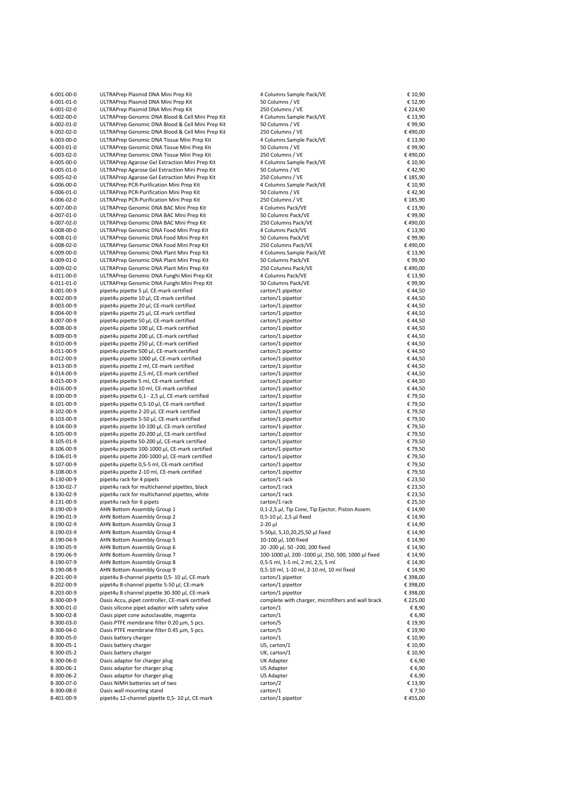| 6-001-00-0               | ULTRAPrep Plasmid DNA Mini Prep Kit                                                                  | 4 Columns Sample Pack/VE                               | € 10,90             |
|--------------------------|------------------------------------------------------------------------------------------------------|--------------------------------------------------------|---------------------|
| $6 - 001 - 01 - 0$       | ULTRAPrep Plasmid DNA Mini Prep Kit                                                                  | 50 Columns / VE                                        | € 52,90             |
| 6-001-02-0               | ULTRAPrep Plasmid DNA Mini Prep Kit                                                                  | 250 Columns / VE                                       | € 224,90            |
| 6-002-00-0<br>6-002-01-0 | ULTRAPrep Genomic DNA Blood & Cell Mini Prep Kit<br>ULTRAPrep Genomic DNA Blood & Cell Mini Prep Kit | 4 Columns Sample Pack/VE<br>50 Columns / VE            | € 13,90<br>€99,90   |
| 6-002-02-0               | ULTRAPrep Genomic DNA Blood & Cell Mini Prep Kit                                                     | 250 Columns / VE                                       | €490,00             |
| 6-003-00-0               | ULTRAPrep Genomic DNA Tissue Mini Prep Kit                                                           | 4 Columns Sample Pack/VE                               | € 13,90             |
| 6-003-01-0               | ULTRAPrep Genomic DNA Tissue Mini Prep Kit                                                           | 50 Columns / VE                                        | €99,90              |
| 6-003-02-0               | ULTRAPrep Genomic DNA Tissue Mini Prep Kit                                                           | 250 Columns / VE                                       | €490,00             |
| 6-005-00-0               | ULTRAPrep Agarose Gel Extraction Mini Prep Kit                                                       | 4 Columns Sample Pack/VE                               | € 10,90             |
| 6-005-01-0               | ULTRAPrep Agarose Gel Extraction Mini Prep Kit                                                       | 50 Columns / VE                                        | €42,90              |
| 6-005-02-0               | ULTRAPrep Agarose Gel Extraction Mini Prep Kit                                                       | 250 Columns / VE                                       | € 185,90            |
| 6-006-00-0               | ULTRAPrep PCR-Purification Mini Prep Kit                                                             | 4 Columns Sample Pack/VE                               | € 10,90             |
| 6-006-01-0               | ULTRAPrep PCR-Purification Mini Prep Kit                                                             | 50 Columns / VE                                        | €42,90              |
| 6-006-02-0<br>6-007-00-0 | ULTRAPrep PCR-Purification Mini Prep Kit<br>ULTRAPrep Genomic DNA BAC Mini Prep Kit                  | 250 Columns / VE<br>4 Columns Pack/VE                  | € 185,90<br>€ 13,90 |
| 6-007-01-0               | ULTRAPrep Genomic DNA BAC Mini Prep Kit                                                              | 50 Columns Pack/VE                                     | €99,90              |
| 6-007-02-0               | ULTRAPrep Genomic DNA BAC Mini Prep Kit                                                              | 250 Columns Pack/VE                                    | €490,00             |
| 6-008-00-0               | ULTRAPrep Genomic DNA Food Mini Prep Kit                                                             | 4 Columns Pack/VE                                      | € 13,90             |
| 6-008-01-0               | ULTRAPrep Genomic DNA Food Mini Prep Kit                                                             | 50 Columns Pack/VE                                     | €99,90              |
| 6-008-02-0               | ULTRAPrep Genomic DNA Food Mini Prep Kit                                                             | 250 Columns Pack/VE                                    | €490,00             |
| 6-009-00-0               | ULTRAPrep Genomic DNA Plant Mini Prep Kit                                                            | 4 Columns Sample Pack/VE                               | € 13,90             |
| 6-009-01-0               | ULTRAPrep Genomic DNA Plant Mini Prep Kit                                                            | 50 Columns Pack/VE                                     | €99,90              |
| 6-009-02-0               | ULTRAPrep Genomic DNA Plant Mini Prep Kit                                                            | 250 Columns Pack/VE                                    | €490,00             |
| 6-011-00-0               | ULTRAPrep Genomic DNA Funghi Mini Prep Kit                                                           | 4 Columns Pack/VE                                      | € 13,90             |
| 6-011-01-0               | ULTRAPrep Genomic DNA Funghi Mini Prep Kit                                                           | 50 Columns Pack/VE                                     | €99,90              |
| 8-001-00-9               | pipet4u pipette 5 µl, CE-mark certified                                                              | carton/1 pipettor                                      | €44,50              |
| 8-002-00-9               | pipet4u pipette 10 µl, CE-mark certified                                                             | carton/1 pipettor                                      | €44,50              |
| 8-003-00-9               | pipet4u pipette 20 µl, CE-mark certified                                                             | carton/1 pipettor<br>carton/1 pipettor                 | €44,50              |
| 8-004-00-9<br>8-007-00-9 | pipet4u pipette 25 µl, CE-mark certified<br>pipet4u pipette 50 µl, CE-mark certified                 | carton/1 pipettor                                      | €44,50<br>€44,50    |
| 8-008-00-9               | pipet4u pipette 100 µl, CE-mark certified                                                            | carton/1 pipettor                                      | €44,50              |
| 8-009-00-9               | pipet4u pipette 200 µl, CE-mark certified                                                            | carton/1 pipettor                                      | €44,50              |
| 8-010-00-9               | pipet4u pipette 250 µl, CE-mark certified                                                            | carton/1 pipettor                                      | €44,50              |
| 8-011-00-9               | pipet4u pipette 500 µl, CE-mark certified                                                            | carton/1 pipettor                                      | €44,50              |
| 8-012-00-9               | pipet4u pipette 1000 µl, CE-mark certified                                                           | carton/1 pipettor                                      | €44,50              |
| 8-013-00-9               | pipet4u pipette 2 ml, CE-mark certified                                                              | carton/1 pipettor                                      | €44,50              |
| 8-014-00-9               | pipet4u pipette 2,5 ml, CE-mark certified                                                            | carton/1 pipettor                                      | €44,50              |
| 8-015-00-9               | pipet4u pipette 5 ml, CE-mark certified                                                              | carton/1 pipettor                                      | €44,50              |
| 8-016-00-9               | pipet4u pipette 10 ml, CE-mark certified                                                             | carton/1 pipettor                                      | €44,50              |
| 8-100-00-9               | pipet4u pipette 0,1 - 2,5 µl, CE-mark certified                                                      | carton/1 pipettor                                      | €79,50              |
| 8-101-00-9               | pipet4u pipette 0,5-10 µl, CE-mark certified                                                         | carton/1 pipettor                                      | €79,50              |
| 8-102-00-9               | pipet4u pipette 2-20 µl, CE-mark certified                                                           | carton/1 pipettor                                      | €79,50              |
| 8-103-00-9               | pipet4u pipette 5-50 µl, CE-mark certified                                                           | carton/1 pipettor                                      | €79,50              |
| 8-104-00-9<br>8-105-00-9 | pipet4u pipette 10-100 µl, CE-mark certified<br>pipet4u pipette 20-200 µl, CE-mark certified         | carton/1 pipettor<br>carton/1 pipettor                 | €79,50<br>€79,50    |
| 8-105-01-9               | pipet4u pipette 50-200 µl, CE-mark certified                                                         | carton/1 pipettor                                      | €79,50              |
| 8-106-00-9               | pipet4u pipette 100-1000 µl, CE-mark certified                                                       | carton/1 pipettor                                      | €79,50              |
| 8-106-01-9               | pipet4u pipette 200-1000 µl, CE-mark certified                                                       | carton/1 pipettor                                      | €79,50              |
| 8-107-00-9               | pipet4u pipette 0,5-5 ml, CE-mark certified                                                          | carton/1 pipettor                                      | €79,50              |
| 8-108-00-9               | pipet4u pipette 2-10 ml, CE-mark certified                                                           | carton/1 pipettor                                      | €79,50              |
| 8-130-00-9               | pipet4u rack for 4 pipets                                                                            | carton/1 rack                                          | € 23,50             |
| 8-130-02-7               | pipet4u rack for multichannel pipettes, black                                                        | carton/1 rack                                          | € 23,50             |
| 8-130-02-9               | pipet4u rack for multichannel pipettes, white                                                        | carton/1 rack                                          | € 23,50             |
| 8-131-00-9               | pipet4u rack for 6 pipets                                                                            | carton/1 rack                                          | € 25,50             |
| 8-190-00-9               | AHN Bottom Assembly Group 1                                                                          | 0,1-2,5 µl, Tip Cone, Tip Ejector, Piston Assem.       | € 14,90             |
| 8-190-01-9               | AHN Bottom Assembly Group 2                                                                          | 0,5-10 μl, 2,5 μl fixed                                | € 14,90             |
| 8-190-02-9               | AHN Bottom Assembly Group 3                                                                          | 2-20 µl                                                | € 14,90             |
| 8-190-03-9<br>8-190-04-9 | AHN Bottom Assembly Group 4<br>AHN Bottom Assembly Group 5                                           | 5-50µl, 5,10,20,25,50 µl fixed<br>10-100 μl, 100 fixed | € 14,90<br>€ 14,90  |
| 8-190-05-9               | AHN Bottom Assembly Group 6                                                                          | 20 - 200 μl, 50 - 200, 200 fixed                       | € 14,90             |
| 8-190-06-9               | AHN Bottom Assembly Group 7                                                                          | 100-1000 μl, 200 -1000 μl, 250, 500, 1000 μl fixed     | € 14,90             |
| 8-190-07-9               | AHN Bottom Assembly Group 8                                                                          | 0,5-5 ml, 1-5 ml, 2 ml, 2,5, 5 ml                      | € 14,90             |
| 8-190-08-9               | AHN Bottom Assembly Group 9                                                                          | 0,5-10 ml, 1-10 ml, 2-10 ml, 10 ml fixed               | € 14,90             |
| 8-201-00-9               | pipet4u 8-channel pipette 0,5- 10 µl, CE-mark                                                        | carton/1 pipettor                                      | € 398,00            |
| 8-202-00-9               | pipet4u 8-channel pipette 5-50 µl, CE-mark                                                           | carton/1 pipettor                                      | € 398,00            |
| 8-203-00-9               | pipet4u 8-channel pipette 30-300 µl, CE-mark                                                         | carton/1 pipettor                                      | € 398,00            |
| 8-300-00-9               | Oasis Accu, pipet controller, CE-mark certified                                                      | complete with charger, microfilters and wall brack     | € 225,00            |
| 8-300-01-0               | Oasis silicone pipet adaptor with safety valve                                                       | carton/1                                               | € 8,90              |
| 8-300-02-8               | Oasis pipet cone autoclavable, magenta                                                               | carton/1                                               | € 6,90              |
| 8-300-03-0               | Oasis PTFE membrane filter 0.20 µm, 5 pcs.                                                           | carton/5                                               | € 19,90             |
| 8-300-04-0               | Oasis PTFE membrane filter 0.45 µm, 5 pcs.                                                           | carton/5                                               | € 19,90             |
| 8-300-05-0               | Oasis battery charger                                                                                | carton/1                                               | € 10,90             |
| 8-300-05-1               | Oasis battery charger                                                                                | US, carton/1<br>UK, carton/1                           | € 10,90             |
| 8-300-05-2<br>8-300-06-0 | Oasis battery charger<br>Oasis adaptor for charger plug                                              | UK Adapter                                             | € 10,90<br>€ 6,90   |
| 8-300-06-1               | Oasis adaptor for charger plug                                                                       | US Adapter                                             | € 6,90              |
| 8-300-06-2               | Oasis adaptor for charger plug                                                                       | US Adapter                                             | € 6,90              |
| 8-300-07-0               | Oasis NiMH batteries set of two                                                                      | carton/2                                               | € 13,90             |
| 8-300-08-0               | Oasis wall mounting stand                                                                            | carton/1                                               | € 7,50              |
| 8-401-00-9               | pipet4u 12-channel pipette 0,5- 10 µl, CE-mark                                                       | carton/1 pipettor                                      | €455,00             |